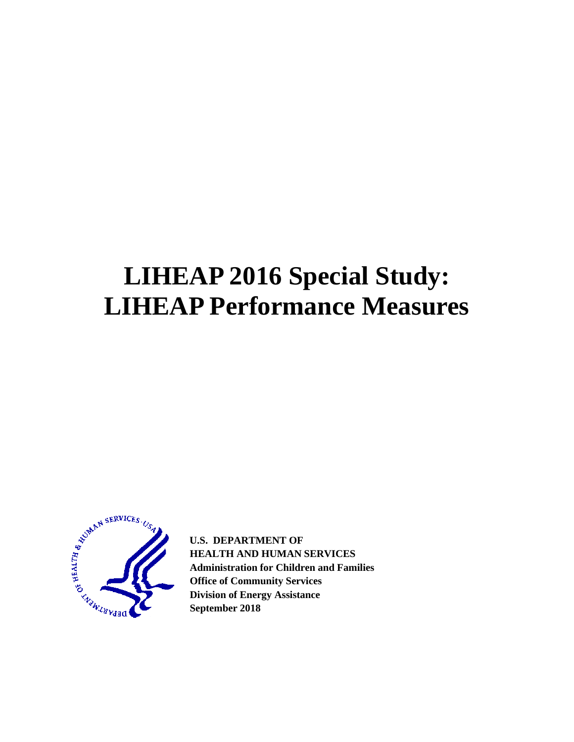# **LIHEAP 2016 Special Study: LIHEAP Performance Measures**



**U.S. DEPARTMENT OF HEALTH AND HUMAN SERVICES Administration for Children and Families Office of Community Services Division of Energy Assistance September 2018**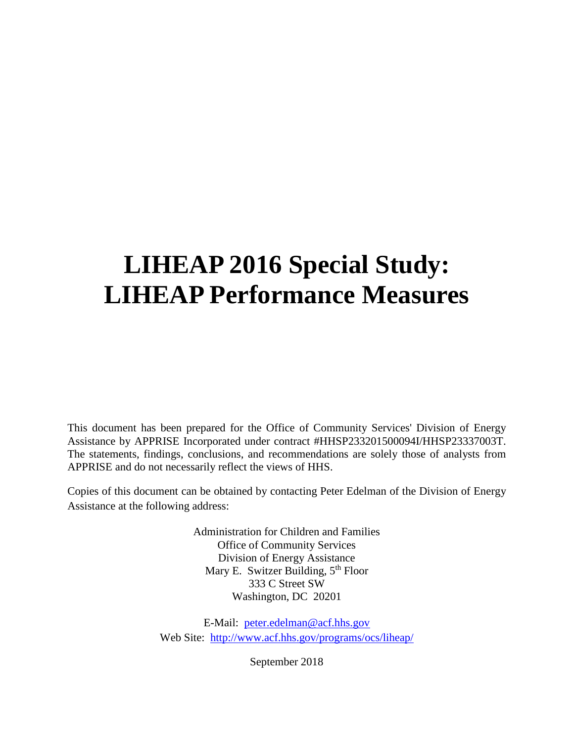# **LIHEAP 2016 Special Study: LIHEAP Performance Measures**

This document has been prepared for the Office of Community Services' Division of Energy Assistance by APPRISE Incorporated under contract #HHSP233201500094I/HHSP23337003T. The statements, findings, conclusions, and recommendations are solely those of analysts from APPRISE and do not necessarily reflect the views of HHS.

Copies of this document can be obtained by contacting Peter Edelman of the Division of Energy Assistance at the following address:

> Administration for Children and Families Office of Community Services Division of Energy Assistance Mary E. Switzer Building, 5<sup>th</sup> Floor 333 C Street SW Washington, DC 20201

E-Mail: [peter.edelman@acf.hhs.gov](mailto:peter.edelman@acf.hhs.gov) Web Site: <http://www.acf.hhs.gov/programs/ocs/liheap/>

September 2018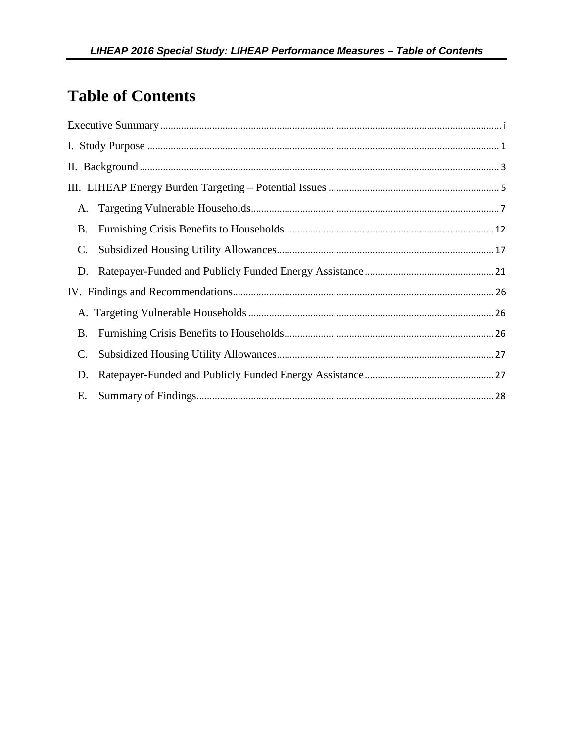# **Table of Contents**

| А.              |  |
|-----------------|--|
| <b>B.</b>       |  |
| $\mathcal{C}$ . |  |
|                 |  |
|                 |  |
|                 |  |
| <b>B.</b>       |  |
| $\mathbf{C}$ .  |  |
| D.              |  |
| Е.              |  |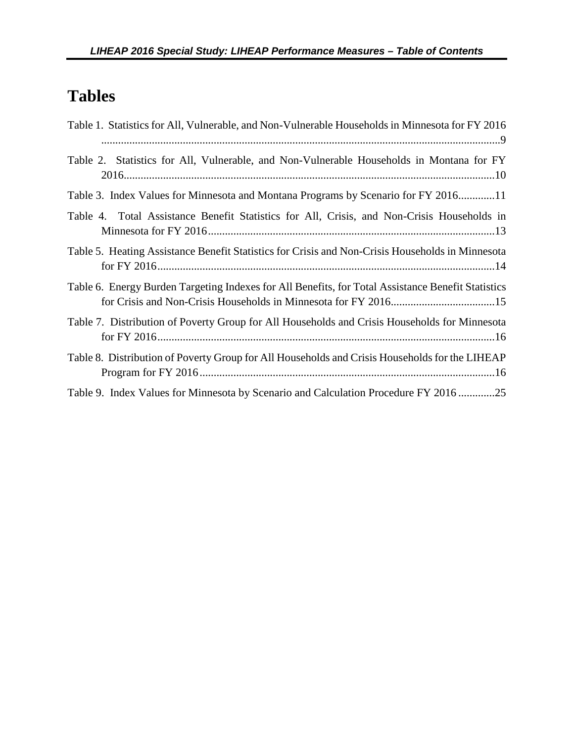# **Tables**

| Table 1. Statistics for All, Vulnerable, and Non-Vulnerable Households in Minnesota for FY 2016    |
|----------------------------------------------------------------------------------------------------|
| Table 2. Statistics for All, Vulnerable, and Non-Vulnerable Households in Montana for FY           |
| Table 3. Index Values for Minnesota and Montana Programs by Scenario for FY 201611                 |
| Table 4. Total Assistance Benefit Statistics for All, Crisis, and Non-Crisis Households in         |
| Table 5. Heating Assistance Benefit Statistics for Crisis and Non-Crisis Households in Minnesota   |
| Table 6. Energy Burden Targeting Indexes for All Benefits, for Total Assistance Benefit Statistics |
| Table 7. Distribution of Poverty Group for All Households and Crisis Households for Minnesota      |
| Table 8. Distribution of Poverty Group for All Households and Crisis Households for the LIHEAP     |
| Table 9. Index Values for Minnesota by Scenario and Calculation Procedure FY 201625                |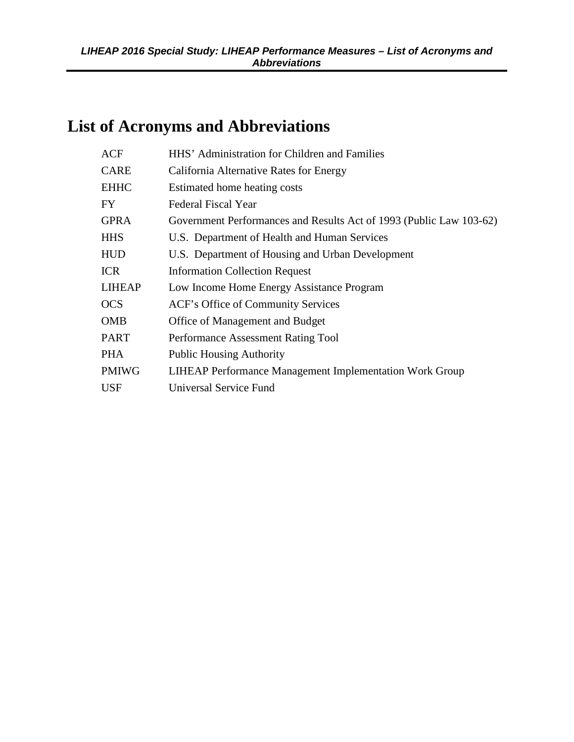# **List of Acronyms and Abbreviations**

| <b>ACF</b>    | HHS' Administration for Children and Families                       |
|---------------|---------------------------------------------------------------------|
| CARE          | California Alternative Rates for Energy                             |
| <b>EHHC</b>   | Estimated home heating costs                                        |
| FY            | Federal Fiscal Year                                                 |
| <b>GPRA</b>   | Government Performances and Results Act of 1993 (Public Law 103-62) |
| <b>HHS</b>    | U.S. Department of Health and Human Services                        |
| HUD           | U.S. Department of Housing and Urban Development                    |
| <b>ICR</b>    | <b>Information Collection Request</b>                               |
| <b>LIHEAP</b> | Low Income Home Energy Assistance Program                           |
| <b>OCS</b>    | ACF's Office of Community Services                                  |
| <b>OMB</b>    | Office of Management and Budget                                     |
| PART          | Performance Assessment Rating Tool                                  |
| PHA           | <b>Public Housing Authority</b>                                     |
| <b>PMIWG</b>  | <b>LIHEAP Performance Management Implementation Work Group</b>      |
| <b>USF</b>    | Universal Service Fund                                              |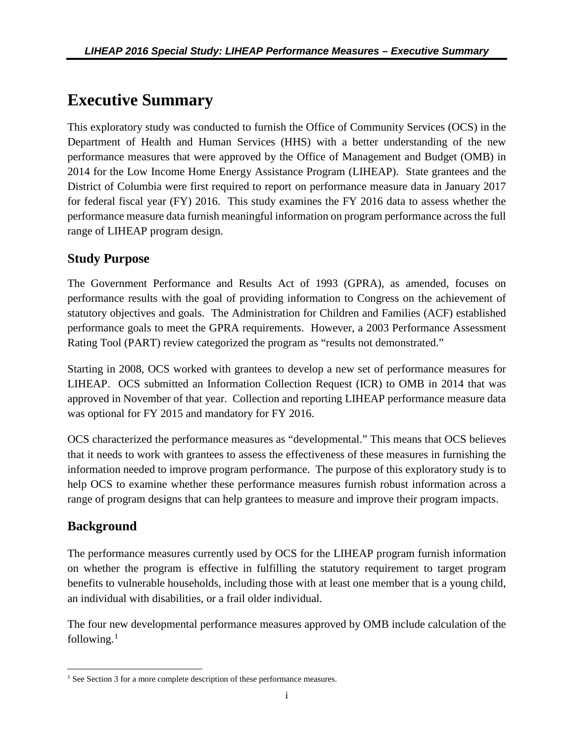# <span id="page-5-1"></span><span id="page-5-0"></span>**Executive Summary**

This exploratory study was conducted to furnish the Office of Community Services (OCS) in the Department of Health and Human Services (HHS) with a better understanding of the new performance measures that were approved by the Office of Management and Budget (OMB) in 2014 for the Low Income Home Energy Assistance Program (LIHEAP). State grantees and the District of Columbia were first required to report on performance measure data in January 2017 for federal fiscal year (FY) 2016. This study examines the FY 2016 data to assess whether the performance measure data furnish meaningful information on program performance across the full range of LIHEAP program design.

### **Study Purpose**

The Government Performance and Results Act of 1993 (GPRA), as amended, focuses on performance results with the goal of providing information to Congress on the achievement of statutory objectives and goals. The Administration for Children and Families (ACF) established performance goals to meet the GPRA requirements. However, a 2003 Performance Assessment Rating Tool (PART) review categorized the program as "results not demonstrated."

Starting in 2008, OCS worked with grantees to develop a new set of performance measures for LIHEAP. OCS submitted an Information Collection Request (ICR) to OMB in 2014 that was approved in November of that year. Collection and reporting LIHEAP performance measure data was optional for FY 2015 and mandatory for FY 2016.

OCS characterized the performance measures as "developmental." This means that OCS believes that it needs to work with grantees to assess the effectiveness of these measures in furnishing the information needed to improve program performance. The purpose of this exploratory study is to help OCS to examine whether these performance measures furnish robust information across a range of program designs that can help grantees to measure and improve their program impacts.

### **Background**

The performance measures currently used by OCS for the LIHEAP program furnish information on whether the program is effective in fulfilling the statutory requirement to target program benefits to vulnerable households, including those with at least one member that is a young child, an individual with disabilities, or a frail older individual.

The four new developmental performance measures approved by OMB include calculation of the following. $^1$  $^1$ 

<span id="page-5-2"></span> $\overline{\phantom{a}}$ <sup>1</sup> See Section 3 for a more complete description of these performance measures.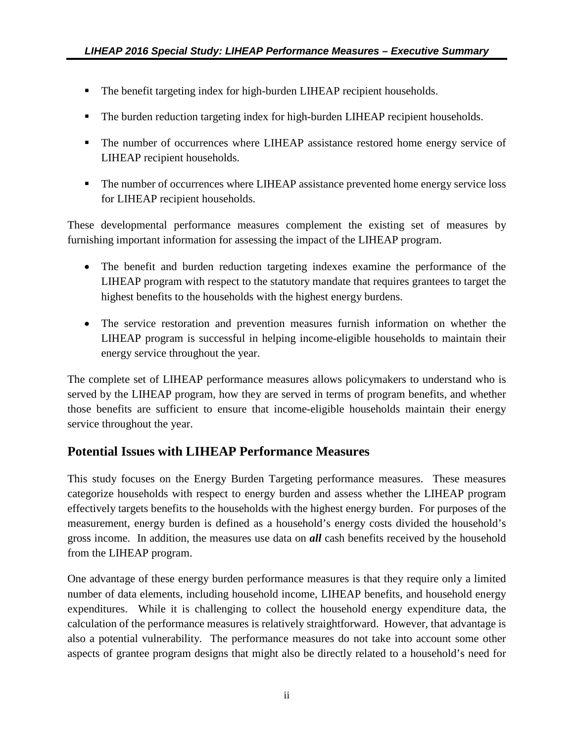- **The benefit targeting index for high-burden LIHEAP recipient households.**
- **The burden reduction targeting index for high-burden LIHEAP recipient households.**
- The number of occurrences where LIHEAP assistance restored home energy service of LIHEAP recipient households.
- The number of occurrences where LIHEAP assistance prevented home energy service loss for LIHEAP recipient households.

These developmental performance measures complement the existing set of measures by furnishing important information for assessing the impact of the LIHEAP program.

- The benefit and burden reduction targeting indexes examine the performance of the LIHEAP program with respect to the statutory mandate that requires grantees to target the highest benefits to the households with the highest energy burdens.
- The service restoration and prevention measures furnish information on whether the LIHEAP program is successful in helping income-eligible households to maintain their energy service throughout the year.

The complete set of LIHEAP performance measures allows policymakers to understand who is served by the LIHEAP program, how they are served in terms of program benefits, and whether those benefits are sufficient to ensure that income-eligible households maintain their energy service throughout the year.

### **Potential Issues with LIHEAP Performance Measures**

This study focuses on the Energy Burden Targeting performance measures. These measures categorize households with respect to energy burden and assess whether the LIHEAP program effectively targets benefits to the households with the highest energy burden. For purposes of the measurement, energy burden is defined as a household's energy costs divided the household's gross income. In addition, the measures use data on *all* cash benefits received by the household from the LIHEAP program.

One advantage of these energy burden performance measures is that they require only a limited number of data elements, including household income, LIHEAP benefits, and household energy expenditures. While it is challenging to collect the household energy expenditure data, the calculation of the performance measures is relatively straightforward. However, that advantage is also a potential vulnerability. The performance measures do not take into account some other aspects of grantee program designs that might also be directly related to a household's need for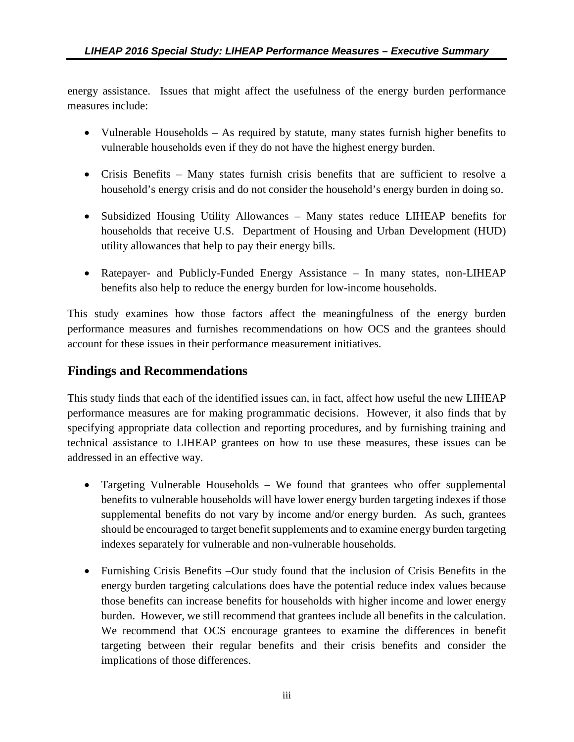energy assistance. Issues that might affect the usefulness of the energy burden performance measures include:

- Vulnerable Households As required by statute, many states furnish higher benefits to vulnerable households even if they do not have the highest energy burden.
- Crisis Benefits Many states furnish crisis benefits that are sufficient to resolve a household's energy crisis and do not consider the household's energy burden in doing so.
- Subsidized Housing Utility Allowances Many states reduce LIHEAP benefits for households that receive U.S. Department of Housing and Urban Development (HUD) utility allowances that help to pay their energy bills.
- Ratepayer- and Publicly-Funded Energy Assistance In many states, non-LIHEAP benefits also help to reduce the energy burden for low-income households.

This study examines how those factors affect the meaningfulness of the energy burden performance measures and furnishes recommendations on how OCS and the grantees should account for these issues in their performance measurement initiatives.

### **Findings and Recommendations**

This study finds that each of the identified issues can, in fact, affect how useful the new LIHEAP performance measures are for making programmatic decisions. However, it also finds that by specifying appropriate data collection and reporting procedures, and by furnishing training and technical assistance to LIHEAP grantees on how to use these measures, these issues can be addressed in an effective way.

- Targeting Vulnerable Households We found that grantees who offer supplemental benefits to vulnerable households will have lower energy burden targeting indexes if those supplemental benefits do not vary by income and/or energy burden. As such, grantees should be encouraged to target benefit supplements and to examine energy burden targeting indexes separately for vulnerable and non-vulnerable households.
- Furnishing Crisis Benefits –Our study found that the inclusion of Crisis Benefits in the energy burden targeting calculations does have the potential reduce index values because those benefits can increase benefits for households with higher income and lower energy burden. However, we still recommend that grantees include all benefits in the calculation. We recommend that OCS encourage grantees to examine the differences in benefit targeting between their regular benefits and their crisis benefits and consider the implications of those differences.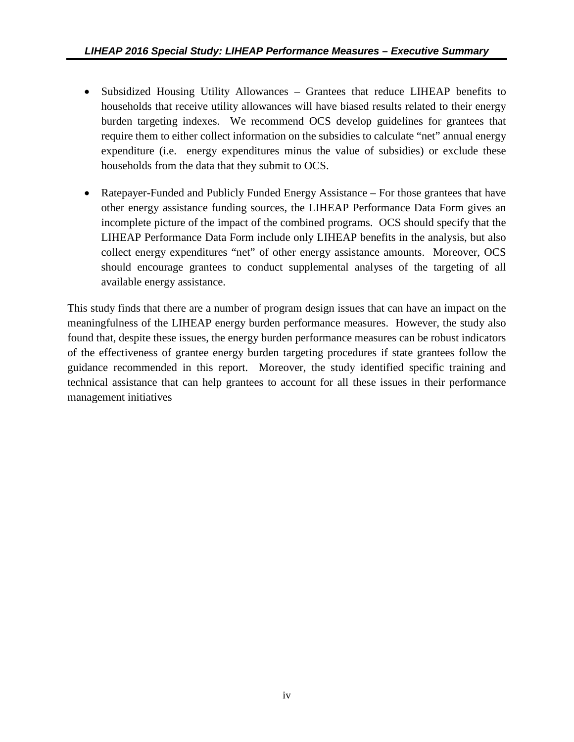- Subsidized Housing Utility Allowances Grantees that reduce LIHEAP benefits to households that receive utility allowances will have biased results related to their energy burden targeting indexes. We recommend OCS develop guidelines for grantees that require them to either collect information on the subsidies to calculate "net" annual energy expenditure (i.e. energy expenditures minus the value of subsidies) or exclude these households from the data that they submit to OCS.
- Ratepayer-Funded and Publicly Funded Energy Assistance For those grantees that have other energy assistance funding sources, the LIHEAP Performance Data Form gives an incomplete picture of the impact of the combined programs. OCS should specify that the LIHEAP Performance Data Form include only LIHEAP benefits in the analysis, but also collect energy expenditures "net" of other energy assistance amounts. Moreover, OCS should encourage grantees to conduct supplemental analyses of the targeting of all available energy assistance.

This study finds that there are a number of program design issues that can have an impact on the meaningfulness of the LIHEAP energy burden performance measures. However, the study also found that, despite these issues, the energy burden performance measures can be robust indicators of the effectiveness of grantee energy burden targeting procedures if state grantees follow the guidance recommended in this report. Moreover, the study identified specific training and technical assistance that can help grantees to account for all these issues in their performance management initiatives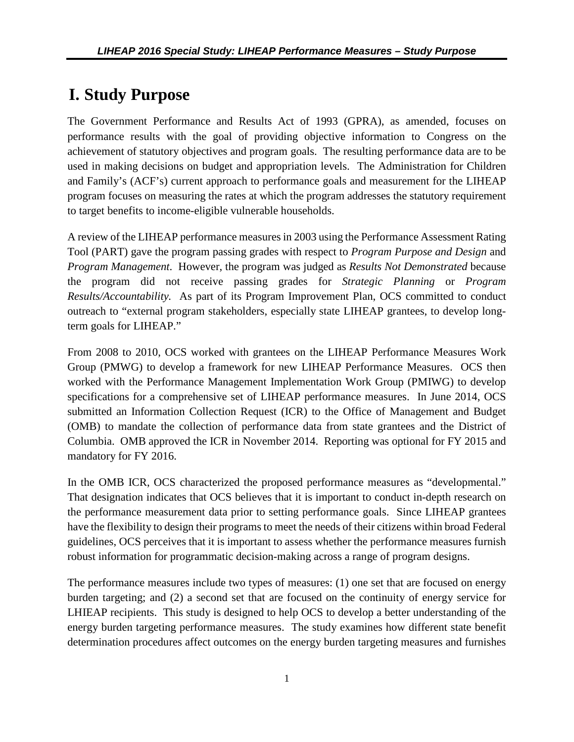# <span id="page-9-0"></span>**I. Study Purpose**

The Government Performance and Results Act of 1993 (GPRA), as amended, focuses on performance results with the goal of providing objective information to Congress on the achievement of statutory objectives and program goals. The resulting performance data are to be used in making decisions on budget and appropriation levels. The Administration for Children and Family's (ACF's) current approach to performance goals and measurement for the LIHEAP program focuses on measuring the rates at which the program addresses the statutory requirement to target benefits to income-eligible vulnerable households.

A review of the LIHEAP performance measures in 2003 using the Performance Assessment Rating Tool (PART) gave the program passing grades with respect to *Program Purpose and Design* and *Program Management*. However, the program was judged as *Results Not Demonstrated* because the program did not receive passing grades for *Strategic Planning* or *Program Results/Accountability.* As part of its Program Improvement Plan, OCS committed to conduct outreach to "external program stakeholders, especially state LIHEAP grantees, to develop longterm goals for LIHEAP."

From 2008 to 2010, OCS worked with grantees on the LIHEAP Performance Measures Work Group (PMWG) to develop a framework for new LIHEAP Performance Measures. OCS then worked with the Performance Management Implementation Work Group (PMIWG) to develop specifications for a comprehensive set of LIHEAP performance measures. In June 2014, OCS submitted an Information Collection Request (ICR) to the Office of Management and Budget (OMB) to mandate the collection of performance data from state grantees and the District of Columbia. OMB approved the ICR in November 2014. Reporting was optional for FY 2015 and mandatory for FY 2016.

In the OMB ICR, OCS characterized the proposed performance measures as "developmental." That designation indicates that OCS believes that it is important to conduct in-depth research on the performance measurement data prior to setting performance goals. Since LIHEAP grantees have the flexibility to design their programs to meet the needs of their citizens within broad Federal guidelines, OCS perceives that it is important to assess whether the performance measures furnish robust information for programmatic decision-making across a range of program designs.

The performance measures include two types of measures: (1) one set that are focused on energy burden targeting; and (2) a second set that are focused on the continuity of energy service for LHIEAP recipients. This study is designed to help OCS to develop a better understanding of the energy burden targeting performance measures. The study examines how different state benefit determination procedures affect outcomes on the energy burden targeting measures and furnishes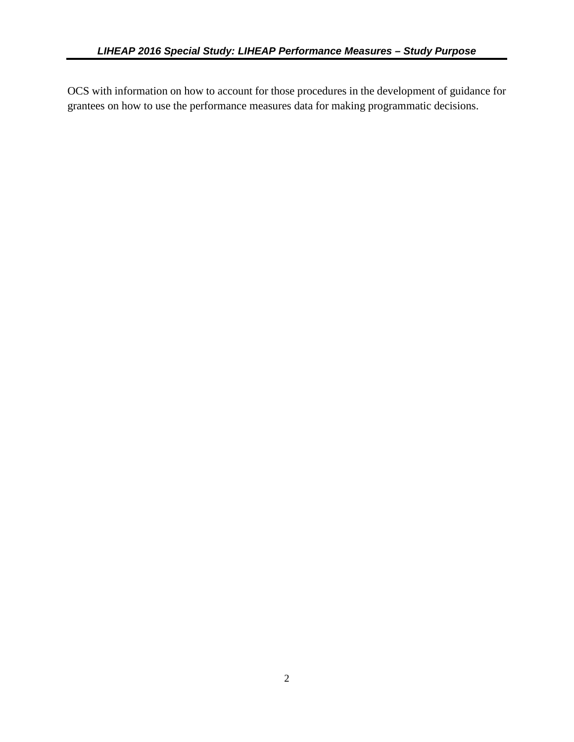OCS with information on how to account for those procedures in the development of guidance for grantees on how to use the performance measures data for making programmatic decisions.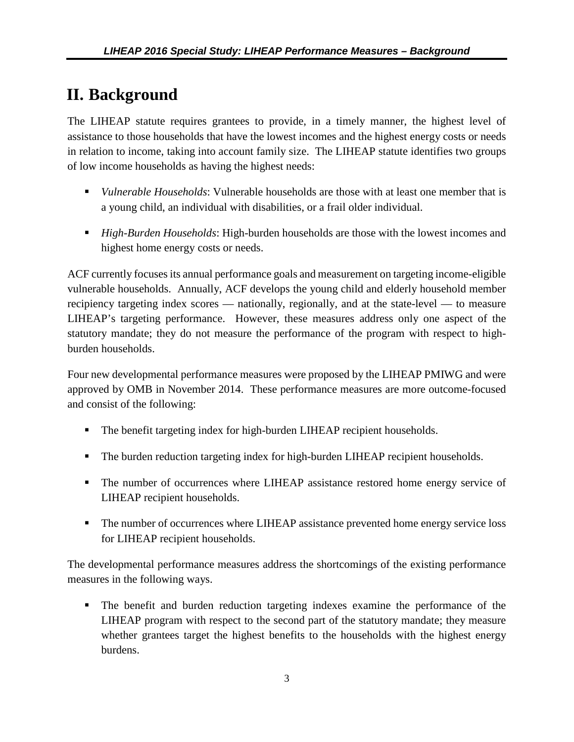# <span id="page-11-0"></span>**II. Background**

The LIHEAP statute requires grantees to provide, in a timely manner, the highest level of assistance to those households that have the lowest incomes and the highest energy costs or needs in relation to income, taking into account family size. The LIHEAP statute identifies two groups of low income households as having the highest needs:

- *Vulnerable Households*: Vulnerable households are those with at least one member that is a young child, an individual with disabilities, or a frail older individual.
- *High-Burden Households*: High-burden households are those with the lowest incomes and highest home energy costs or needs.

ACF currently focuses its annual performance goals and measurement on targeting income-eligible vulnerable households. Annually, ACF develops the young child and elderly household member recipiency targeting index scores — nationally, regionally, and at the state-level — to measure LIHEAP's targeting performance. However, these measures address only one aspect of the statutory mandate; they do not measure the performance of the program with respect to highburden households.

Four new developmental performance measures were proposed by the LIHEAP PMIWG and were approved by OMB in November 2014. These performance measures are more outcome-focused and consist of the following:

- The benefit targeting index for high-burden LIHEAP recipient households.
- **The burden reduction targeting index for high-burden LIHEAP recipient households.**
- The number of occurrences where LIHEAP assistance restored home energy service of LIHEAP recipient households.
- The number of occurrences where LIHEAP assistance prevented home energy service loss for LIHEAP recipient households.

The developmental performance measures address the shortcomings of the existing performance measures in the following ways.

 The benefit and burden reduction targeting indexes examine the performance of the LIHEAP program with respect to the second part of the statutory mandate; they measure whether grantees target the highest benefits to the households with the highest energy burdens.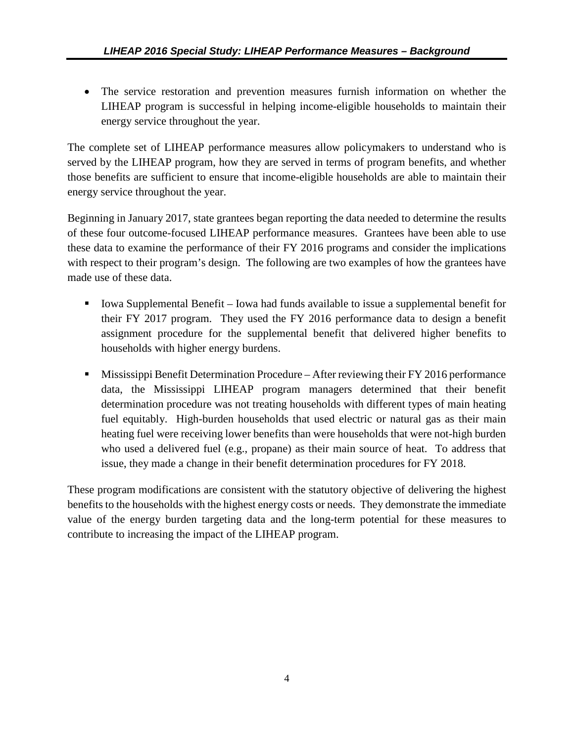• The service restoration and prevention measures furnish information on whether the LIHEAP program is successful in helping income-eligible households to maintain their energy service throughout the year.

The complete set of LIHEAP performance measures allow policymakers to understand who is served by the LIHEAP program, how they are served in terms of program benefits, and whether those benefits are sufficient to ensure that income-eligible households are able to maintain their energy service throughout the year.

Beginning in January 2017, state grantees began reporting the data needed to determine the results of these four outcome-focused LIHEAP performance measures. Grantees have been able to use these data to examine the performance of their FY 2016 programs and consider the implications with respect to their program's design. The following are two examples of how the grantees have made use of these data.

- Iowa Supplemental Benefit Iowa had funds available to issue a supplemental benefit for their FY 2017 program. They used the FY 2016 performance data to design a benefit assignment procedure for the supplemental benefit that delivered higher benefits to households with higher energy burdens.
- **Mississippi Benefit Determination Procedure** After reviewing their FY 2016 performance data, the Mississippi LIHEAP program managers determined that their benefit determination procedure was not treating households with different types of main heating fuel equitably. High-burden households that used electric or natural gas as their main heating fuel were receiving lower benefits than were households that were not-high burden who used a delivered fuel (e.g., propane) as their main source of heat. To address that issue, they made a change in their benefit determination procedures for FY 2018.

These program modifications are consistent with the statutory objective of delivering the highest benefits to the households with the highest energy costs or needs. They demonstrate the immediate value of the energy burden targeting data and the long-term potential for these measures to contribute to increasing the impact of the LIHEAP program.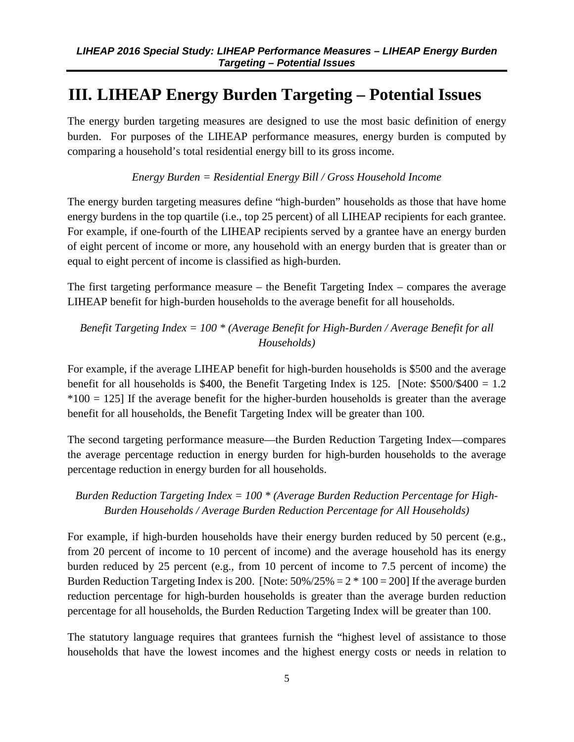# <span id="page-13-1"></span><span id="page-13-0"></span>**III. LIHEAP Energy Burden Targeting – Potential Issues**

The energy burden targeting measures are designed to use the most basic definition of energy burden. For purposes of the LIHEAP performance measures, energy burden is computed by comparing a household's total residential energy bill to its gross income.

*Energy Burden = Residential Energy Bill / Gross Household Income* 

The energy burden targeting measures define "high-burden" households as those that have home energy burdens in the top quartile (i.e., top 25 percent) of all LIHEAP recipients for each grantee. For example, if one-fourth of the LIHEAP recipients served by a grantee have an energy burden of eight percent of income or more, any household with an energy burden that is greater than or equal to eight percent of income is classified as high-burden.

The first targeting performance measure – the Benefit Targeting Index – compares the average LIHEAP benefit for high-burden households to the average benefit for all households.

*Benefit Targeting Index = 100 \* (Average Benefit for High-Burden / Average Benefit for all Households)* 

For example, if the average LIHEAP benefit for high-burden households is \$500 and the average benefit for all households is \$400, the Benefit Targeting Index is 125. [Note: \$500/\$400 = 1.2  $*100 = 125$  If the average benefit for the higher-burden households is greater than the average benefit for all households, the Benefit Targeting Index will be greater than 100.

The second targeting performance measure—the Burden Reduction Targeting Index—compares the average percentage reduction in energy burden for high-burden households to the average percentage reduction in energy burden for all households.

#### *Burden Reduction Targeting Index = 100 \* (Average Burden Reduction Percentage for High-Burden Households / Average Burden Reduction Percentage for All Households)*

For example, if high-burden households have their energy burden reduced by 50 percent (e.g., from 20 percent of income to 10 percent of income) and the average household has its energy burden reduced by 25 percent (e.g., from 10 percent of income to 7.5 percent of income) the Burden Reduction Targeting Index is 200. [Note:  $50\%/25\% = 2 * 100 = 200$ ] If the average burden reduction percentage for high-burden households is greater than the average burden reduction percentage for all households, the Burden Reduction Targeting Index will be greater than 100.

The statutory language requires that grantees furnish the "highest level of assistance to those households that have the lowest incomes and the highest energy costs or needs in relation to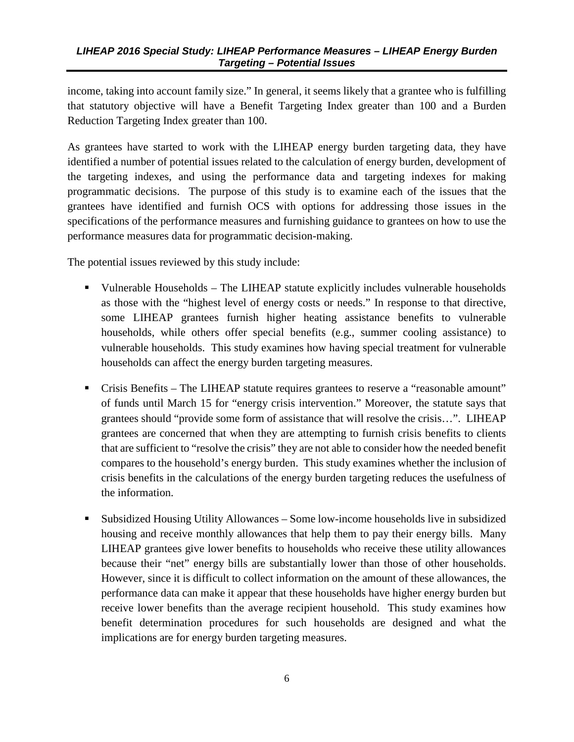income, taking into account family size." In general, it seems likely that a grantee who is fulfilling that statutory objective will have a Benefit Targeting Index greater than 100 and a Burden Reduction Targeting Index greater than 100.

As grantees have started to work with the LIHEAP energy burden targeting data, they have identified a number of potential issues related to the calculation of energy burden, development of the targeting indexes, and using the performance data and targeting indexes for making programmatic decisions. The purpose of this study is to examine each of the issues that the grantees have identified and furnish OCS with options for addressing those issues in the specifications of the performance measures and furnishing guidance to grantees on how to use the performance measures data for programmatic decision-making.

The potential issues reviewed by this study include:

- Vulnerable Households The LIHEAP statute explicitly includes vulnerable households as those with the "highest level of energy costs or needs." In response to that directive, some LIHEAP grantees furnish higher heating assistance benefits to vulnerable households, while others offer special benefits (e.g., summer cooling assistance) to vulnerable households. This study examines how having special treatment for vulnerable households can affect the energy burden targeting measures.
- Crisis Benefits The LIHEAP statute requires grantees to reserve a "reasonable amount" of funds until March 15 for "energy crisis intervention." Moreover, the statute says that grantees should "provide some form of assistance that will resolve the crisis…". LIHEAP grantees are concerned that when they are attempting to furnish crisis benefits to clients that are sufficient to "resolve the crisis" they are not able to consider how the needed benefit compares to the household's energy burden. This study examines whether the inclusion of crisis benefits in the calculations of the energy burden targeting reduces the usefulness of the information.
- Subsidized Housing Utility Allowances Some low-income households live in subsidized housing and receive monthly allowances that help them to pay their energy bills. Many LIHEAP grantees give lower benefits to households who receive these utility allowances because their "net" energy bills are substantially lower than those of other households. However, since it is difficult to collect information on the amount of these allowances, the performance data can make it appear that these households have higher energy burden but receive lower benefits than the average recipient household. This study examines how benefit determination procedures for such households are designed and what the implications are for energy burden targeting measures.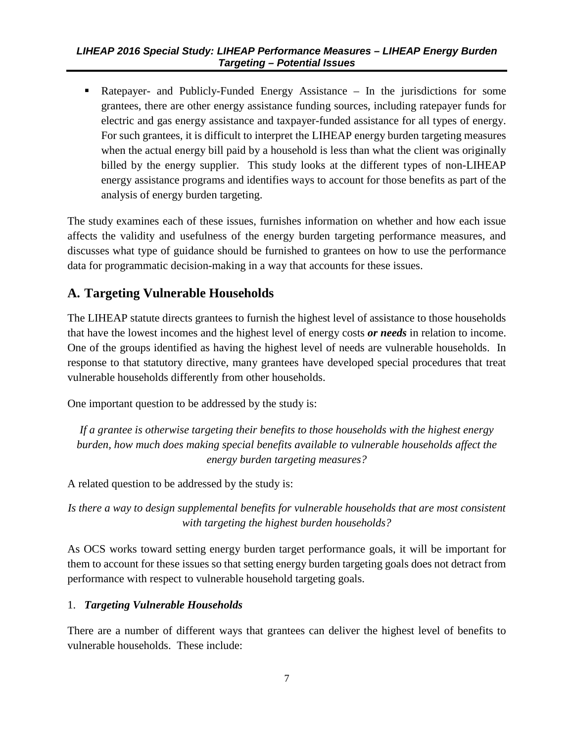<span id="page-15-1"></span> Ratepayer- and Publicly-Funded Energy Assistance – In the jurisdictions for some grantees, there are other energy assistance funding sources, including ratepayer funds for electric and gas energy assistance and taxpayer-funded assistance for all types of energy. For such grantees, it is difficult to interpret the LIHEAP energy burden targeting measures when the actual energy bill paid by a household is less than what the client was originally billed by the energy supplier. This study looks at the different types of non-LIHEAP energy assistance programs and identifies ways to account for those benefits as part of the analysis of energy burden targeting.

The study examines each of these issues, furnishes information on whether and how each issue affects the validity and usefulness of the energy burden targeting performance measures, and discusses what type of guidance should be furnished to grantees on how to use the performance data for programmatic decision-making in a way that accounts for these issues.

# <span id="page-15-0"></span>**A. Targeting Vulnerable Households**

The LIHEAP statute directs grantees to furnish the highest level of assistance to those households that have the lowest incomes and the highest level of energy costs *or needs* in relation to income. One of the groups identified as having the highest level of needs are vulnerable households. In response to that statutory directive, many grantees have developed special procedures that treat vulnerable households differently from other households.

One important question to be addressed by the study is:

*If a grantee is otherwise targeting their benefits to those households with the highest energy burden, how much does making special benefits available to vulnerable households affect the energy burden targeting measures?* 

A related question to be addressed by the study is:

*Is there a way to design supplemental benefits for vulnerable households that are most consistent with targeting the highest burden households?* 

As OCS works toward setting energy burden target performance goals, it will be important for them to account for these issues so that setting energy burden targeting goals does not detract from performance with respect to vulnerable household targeting goals.

#### 1. *Targeting Vulnerable Households*

There are a number of different ways that grantees can deliver the highest level of benefits to vulnerable households. These include: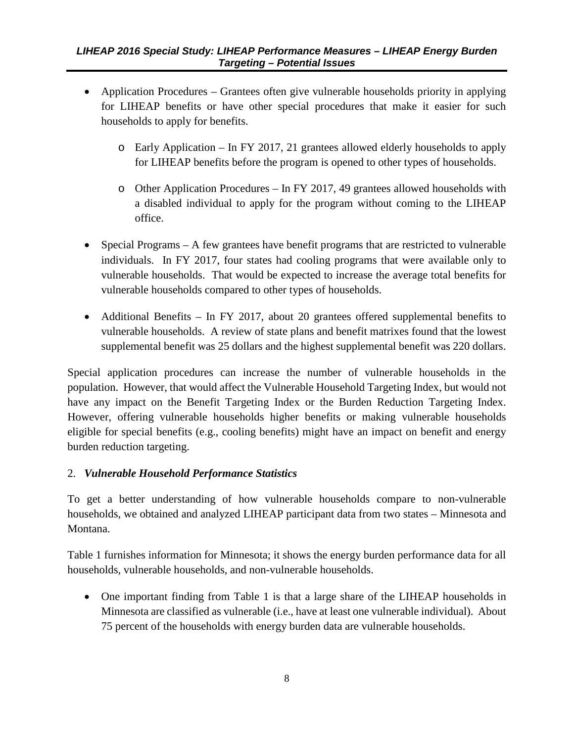- Application Procedures Grantees often give vulnerable households priority in applying for LIHEAP benefits or have other special procedures that make it easier for such households to apply for benefits.
	- o Early Application In FY 2017, 21 grantees allowed elderly households to apply for LIHEAP benefits before the program is opened to other types of households.
	- o Other Application Procedures In FY 2017, 49 grantees allowed households with a disabled individual to apply for the program without coming to the LIHEAP office.
- Special Programs A few grantees have benefit programs that are restricted to vulnerable individuals. In FY 2017, four states had cooling programs that were available only to vulnerable households. That would be expected to increase the average total benefits for vulnerable households compared to other types of households.
- Additional Benefits In FY 2017, about 20 grantees offered supplemental benefits to vulnerable households. A review of state plans and benefit matrixes found that the lowest supplemental benefit was 25 dollars and the highest supplemental benefit was 220 dollars.

Special application procedures can increase the number of vulnerable households in the population. However, that would affect the Vulnerable Household Targeting Index, but would not have any impact on the Benefit Targeting Index or the Burden Reduction Targeting Index. However, offering vulnerable households higher benefits or making vulnerable households eligible for special benefits (e.g., cooling benefits) might have an impact on benefit and energy burden reduction targeting.

#### 2. *Vulnerable Household Performance Statistics*

To get a better understanding of how vulnerable households compare to non-vulnerable households, we obtained and analyzed LIHEAP participant data from two states – Minnesota and Montana.

Table 1 furnishes information for Minnesota; it shows the energy burden performance data for all households, vulnerable households, and non-vulnerable households.

• One important finding from Table 1 is that a large share of the LIHEAP households in Minnesota are classified as vulnerable (i.e., have at least one vulnerable individual). About 75 percent of the households with energy burden data are vulnerable households.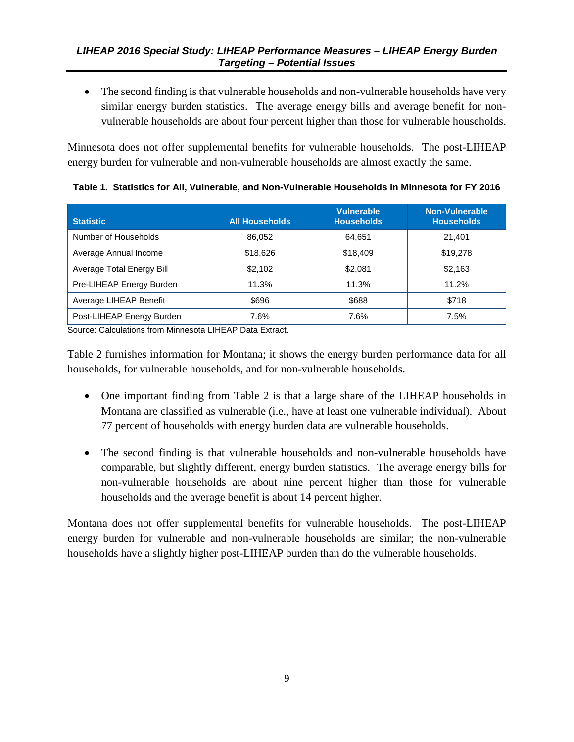<span id="page-17-1"></span>• The second finding is that vulnerable households and non-vulnerable households have very similar energy burden statistics. The average energy bills and average benefit for nonvulnerable households are about four percent higher than those for vulnerable households.

Minnesota does not offer supplemental benefits for vulnerable households. The post-LIHEAP energy burden for vulnerable and non-vulnerable households are almost exactly the same.

| <b>Statistic</b>          | <b>All Households</b> | <b>Vulnerable</b><br><b>Households</b> | Non-Vulnerable<br><b>Households</b> |
|---------------------------|-----------------------|----------------------------------------|-------------------------------------|
| Number of Households      | 86.052                | 64.651                                 | 21.401                              |
| Average Annual Income     | \$18,626              | \$18,409                               | \$19,278                            |
| Average Total Energy Bill | \$2.102               | \$2,081                                | \$2,163                             |
| Pre-LIHEAP Energy Burden  | 11.3%                 | 11.3%                                  | 11.2%                               |
| Average LIHEAP Benefit    | \$696                 | \$688                                  | \$718                               |
| Post-LIHEAP Energy Burden | 7.6%                  | 7.6%                                   | 7.5%                                |

<span id="page-17-0"></span>**Table 1. Statistics for All, Vulnerable, and Non-Vulnerable Households in Minnesota for FY 2016**

Source: Calculations from Minnesota LIHEAP Data Extract.

Table 2 furnishes information for Montana; it shows the energy burden performance data for all households, for vulnerable households, and for non-vulnerable households.

- One important finding from Table 2 is that a large share of the LIHEAP households in Montana are classified as vulnerable (i.e., have at least one vulnerable individual). About 77 percent of households with energy burden data are vulnerable households.
- The second finding is that vulnerable households and non-vulnerable households have comparable, but slightly different, energy burden statistics. The average energy bills for non-vulnerable households are about nine percent higher than those for vulnerable households and the average benefit is about 14 percent higher.

Montana does not offer supplemental benefits for vulnerable households. The post-LIHEAP energy burden for vulnerable and non-vulnerable households are similar; the non-vulnerable households have a slightly higher post-LIHEAP burden than do the vulnerable households.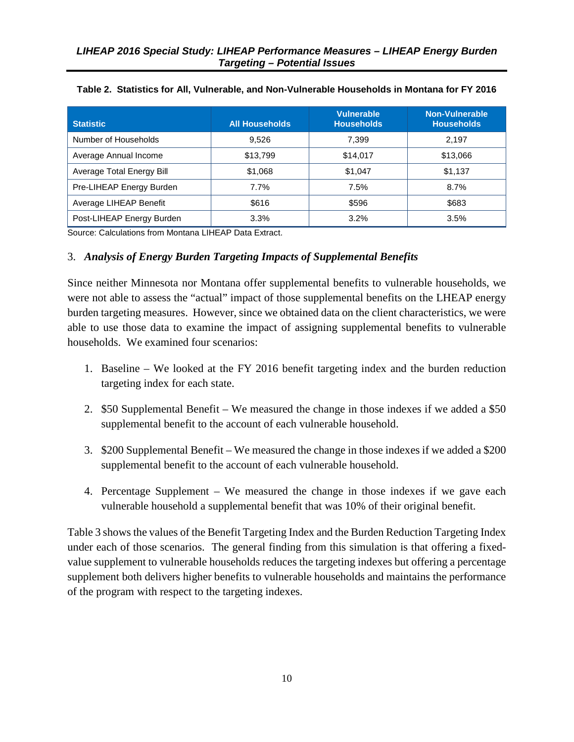| <b>Statistic</b>          | <b>All Households</b> | <b>Vulnerable</b><br><b>Households</b> | Non-Vulnerable<br><b>Households</b> |
|---------------------------|-----------------------|----------------------------------------|-------------------------------------|
| Number of Households      | 9.526                 | 7,399                                  | 2,197                               |
| Average Annual Income     | \$13,799              | \$14,017                               | \$13,066                            |
| Average Total Energy Bill | \$1,068               | \$1,047                                | \$1,137                             |
| Pre-LIHEAP Energy Burden  | 7.7%                  | 7.5%                                   | 8.7%                                |
| Average LIHEAP Benefit    | \$616                 | \$596                                  | \$683                               |
| Post-LIHEAP Energy Burden | 3.3%                  | 3.2%                                   | 3.5%                                |

#### <span id="page-18-1"></span><span id="page-18-0"></span>**Table 2. Statistics for All, Vulnerable, and Non-Vulnerable Households in Montana for FY 2016**

Source: Calculations from Montana LIHEAP Data Extract.

#### 3. *Analysis of Energy Burden Targeting Impacts of Supplemental Benefits*

Since neither Minnesota nor Montana offer supplemental benefits to vulnerable households, we were not able to assess the "actual" impact of those supplemental benefits on the LHEAP energy burden targeting measures. However, since we obtained data on the client characteristics, we were able to use those data to examine the impact of assigning supplemental benefits to vulnerable households. We examined four scenarios:

- 1. Baseline We looked at the FY 2016 benefit targeting index and the burden reduction targeting index for each state.
- 2. \$50 Supplemental Benefit We measured the change in those indexes if we added a \$50 supplemental benefit to the account of each vulnerable household.
- 3. \$200 Supplemental Benefit We measured the change in those indexes if we added a \$200 supplemental benefit to the account of each vulnerable household.
- 4. Percentage Supplement We measured the change in those indexes if we gave each vulnerable household a supplemental benefit that was 10% of their original benefit.

Table 3 shows the values of the Benefit Targeting Index and the Burden Reduction Targeting Index under each of those scenarios. The general finding from this simulation is that offering a fixedvalue supplement to vulnerable households reduces the targeting indexes but offering a percentage supplement both delivers higher benefits to vulnerable households and maintains the performance of the program with respect to the targeting indexes.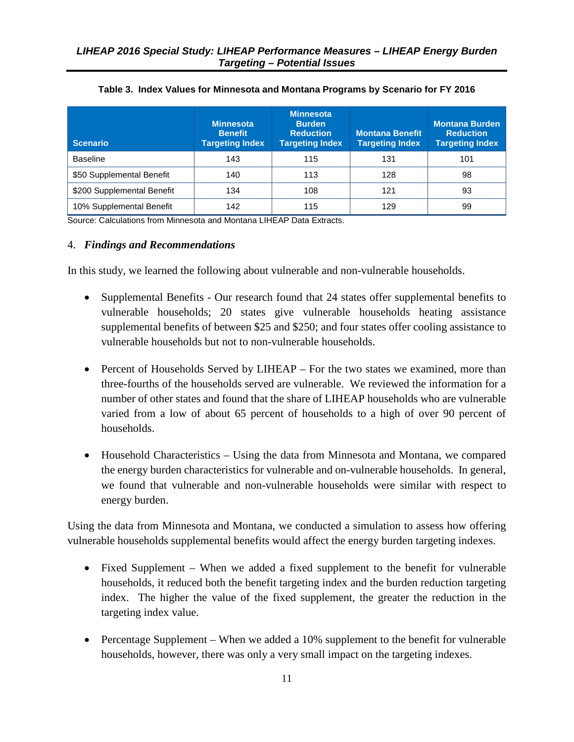<span id="page-19-1"></span><span id="page-19-0"></span>

| <b>Scenario</b>            | <b>Minnesota</b><br><b>Benefit</b><br><b>Targeting Index</b> | <b>Minnesota</b><br><b>Burden</b><br><b>Reduction</b><br><b>Targeting Index</b> | <b>Montana Benefit</b><br><b>Targeting Index</b> | <b>Montana Burden</b><br><b>Reduction</b><br><b>Targeting Index</b> |
|----------------------------|--------------------------------------------------------------|---------------------------------------------------------------------------------|--------------------------------------------------|---------------------------------------------------------------------|
| <b>Baseline</b>            | 143                                                          | 115                                                                             | 131                                              | 101                                                                 |
| \$50 Supplemental Benefit  | 140                                                          | 113                                                                             | 128                                              | 98                                                                  |
| \$200 Supplemental Benefit | 134                                                          | 108                                                                             | 121                                              | 93                                                                  |
| 10% Supplemental Benefit   | 142                                                          | 115                                                                             | 129                                              | 99                                                                  |

| Table 3. Index Values for Minnesota and Montana Programs by Scenario for FY 2016 |  |
|----------------------------------------------------------------------------------|--|
|----------------------------------------------------------------------------------|--|

Source: Calculations from Minnesota and Montana LIHEAP Data Extracts.

#### 4. *Findings and Recommendations*

In this study, we learned the following about vulnerable and non-vulnerable households.

- Supplemental Benefits Our research found that 24 states offer supplemental benefits to vulnerable households; 20 states give vulnerable households heating assistance supplemental benefits of between \$25 and \$250; and four states offer cooling assistance to vulnerable households but not to non-vulnerable households.
- Percent of Households Served by LIHEAP For the two states we examined, more than three-fourths of the households served are vulnerable. We reviewed the information for a number of other states and found that the share of LIHEAP households who are vulnerable varied from a low of about 65 percent of households to a high of over 90 percent of households.
- Household Characteristics Using the data from Minnesota and Montana, we compared the energy burden characteristics for vulnerable and on-vulnerable households. In general, we found that vulnerable and non-vulnerable households were similar with respect to energy burden.

Using the data from Minnesota and Montana, we conducted a simulation to assess how offering vulnerable households supplemental benefits would affect the energy burden targeting indexes.

- Fixed Supplement When we added a fixed supplement to the benefit for vulnerable households, it reduced both the benefit targeting index and the burden reduction targeting index. The higher the value of the fixed supplement, the greater the reduction in the targeting index value.
- Percentage Supplement When we added a 10% supplement to the benefit for vulnerable households, however, there was only a very small impact on the targeting indexes.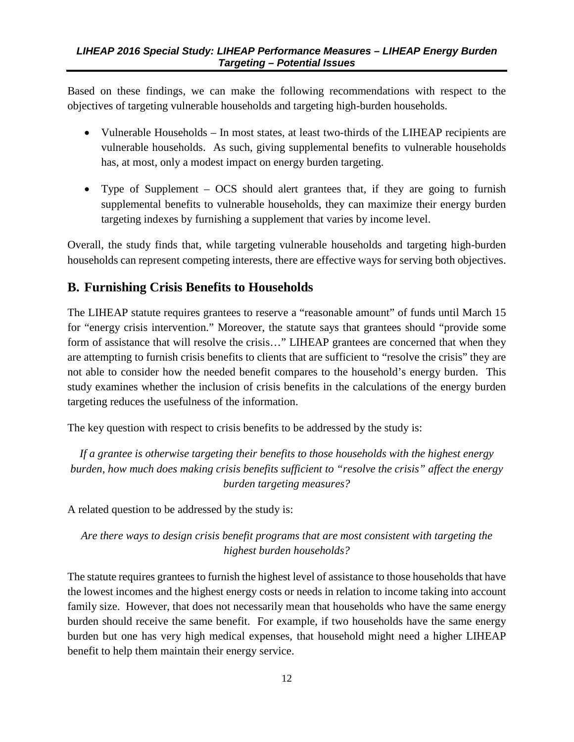<span id="page-20-1"></span>Based on these findings, we can make the following recommendations with respect to the objectives of targeting vulnerable households and targeting high-burden households.

- Vulnerable Households In most states, at least two-thirds of the LIHEAP recipients are vulnerable households. As such, giving supplemental benefits to vulnerable households has, at most, only a modest impact on energy burden targeting.
- Type of Supplement OCS should alert grantees that, if they are going to furnish supplemental benefits to vulnerable households, they can maximize their energy burden targeting indexes by furnishing a supplement that varies by income level.

Overall, the study finds that, while targeting vulnerable households and targeting high-burden households can represent competing interests, there are effective ways for serving both objectives.

# <span id="page-20-0"></span>**B. Furnishing Crisis Benefits to Households**

The LIHEAP statute requires grantees to reserve a "reasonable amount" of funds until March 15 for "energy crisis intervention." Moreover, the statute says that grantees should "provide some form of assistance that will resolve the crisis..." LIHEAP grantees are concerned that when they are attempting to furnish crisis benefits to clients that are sufficient to "resolve the crisis" they are not able to consider how the needed benefit compares to the household's energy burden. This study examines whether the inclusion of crisis benefits in the calculations of the energy burden targeting reduces the usefulness of the information.

The key question with respect to crisis benefits to be addressed by the study is:

*If a grantee is otherwise targeting their benefits to those households with the highest energy burden, how much does making crisis benefits sufficient to "resolve the crisis" affect the energy burden targeting measures?* 

A related question to be addressed by the study is:

*Are there ways to design crisis benefit programs that are most consistent with targeting the highest burden households?* 

The statute requires grantees to furnish the highest level of assistance to those households that have the lowest incomes and the highest energy costs or needs in relation to income taking into account family size. However, that does not necessarily mean that households who have the same energy burden should receive the same benefit. For example, if two households have the same energy burden but one has very high medical expenses, that household might need a higher LIHEAP benefit to help them maintain their energy service.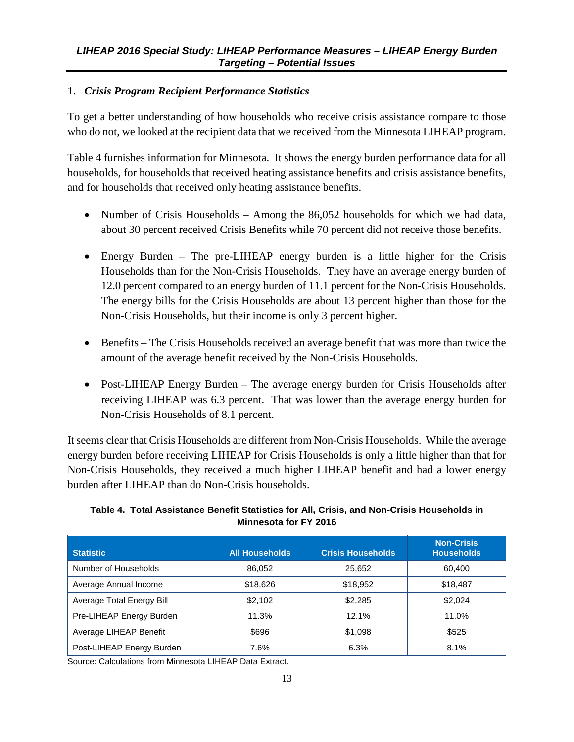#### <span id="page-21-1"></span>1. *Crisis Program Recipient Performance Statistics*

To get a better understanding of how households who receive crisis assistance compare to those who do not, we looked at the recipient data that we received from the Minnesota LIHEAP program.

Table 4 furnishes information for Minnesota. It shows the energy burden performance data for all households, for households that received heating assistance benefits and crisis assistance benefits, and for households that received only heating assistance benefits.

- Number of Crisis Households Among the 86,052 households for which we had data, about 30 percent received Crisis Benefits while 70 percent did not receive those benefits.
- Energy Burden The pre-LIHEAP energy burden is a little higher for the Crisis Households than for the Non-Crisis Households. They have an average energy burden of 12.0 percent compared to an energy burden of 11.1 percent for the Non-Crisis Households. The energy bills for the Crisis Households are about 13 percent higher than those for the Non-Crisis Households, but their income is only 3 percent higher.
- Benefits The Crisis Households received an average benefit that was more than twice the amount of the average benefit received by the Non-Crisis Households.
- Post-LIHEAP Energy Burden The average energy burden for Crisis Households after receiving LIHEAP was 6.3 percent. That was lower than the average energy burden for Non-Crisis Households of 8.1 percent.

It seems clear that Crisis Households are different from Non-Crisis Households. While the average energy burden before receiving LIHEAP for Crisis Households is only a little higher than that for Non-Crisis Households, they received a much higher LIHEAP benefit and had a lower energy burden after LIHEAP than do Non-Crisis households.

#### <span id="page-21-0"></span>**Table 4. Total Assistance Benefit Statistics for All, Crisis, and Non-Crisis Households in Minnesota for FY 2016**

| <b>Statistic</b>          | <b>All Households</b> | <b>Crisis Households</b> | <b>Non-Crisis</b><br><b>Households</b> |
|---------------------------|-----------------------|--------------------------|----------------------------------------|
| Number of Households      | 86.052                | 25,652                   | 60.400                                 |
| Average Annual Income     | \$18,626              | \$18,952                 | \$18,487                               |
| Average Total Energy Bill | \$2.102               | \$2.285                  | \$2,024                                |
| Pre-LIHEAP Energy Burden  | 11.3%                 | 12.1%                    | 11.0%                                  |
| Average LIHEAP Benefit    | \$696                 | \$1,098                  | \$525                                  |
| Post-LIHEAP Energy Burden | 7.6%                  | 6.3%                     | 8.1%                                   |

Source: Calculations from Minnesota LIHEAP Data Extract.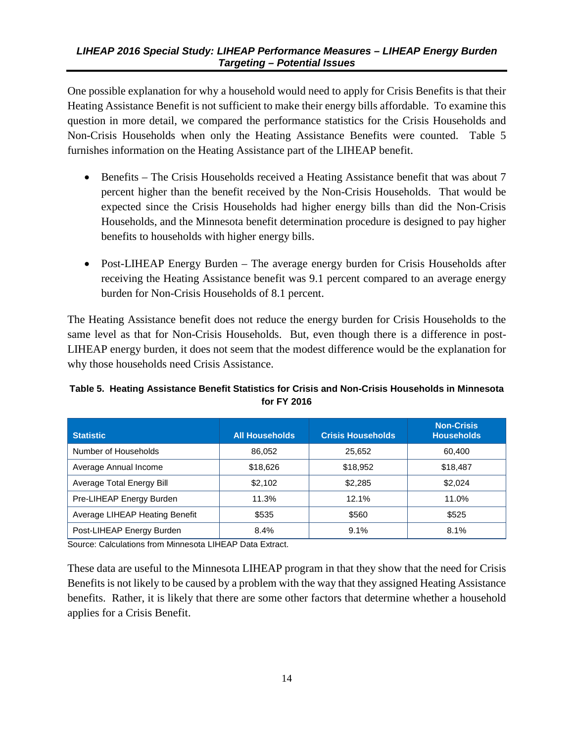<span id="page-22-1"></span>One possible explanation for why a household would need to apply for Crisis Benefits is that their Heating Assistance Benefit is not sufficient to make their energy bills affordable. To examine this question in more detail, we compared the performance statistics for the Crisis Households and Non-Crisis Households when only the Heating Assistance Benefits were counted. Table 5 furnishes information on the Heating Assistance part of the LIHEAP benefit.

- Benefits The Crisis Households received a Heating Assistance benefit that was about 7 percent higher than the benefit received by the Non-Crisis Households. That would be expected since the Crisis Households had higher energy bills than did the Non-Crisis Households, and the Minnesota benefit determination procedure is designed to pay higher benefits to households with higher energy bills.
- Post-LIHEAP Energy Burden The average energy burden for Crisis Households after receiving the Heating Assistance benefit was 9.1 percent compared to an average energy burden for Non-Crisis Households of 8.1 percent.

The Heating Assistance benefit does not reduce the energy burden for Crisis Households to the same level as that for Non-Crisis Households. But, even though there is a difference in post-LIHEAP energy burden, it does not seem that the modest difference would be the explanation for why those households need Crisis Assistance.

#### <span id="page-22-0"></span>**Table 5. Heating Assistance Benefit Statistics for Crisis and Non-Crisis Households in Minnesota for FY 2016**

| <b>Statistic</b>               | <b>All Households</b> | <b>Crisis Households</b> | <b>Non-Crisis</b><br><b>Households</b> |
|--------------------------------|-----------------------|--------------------------|----------------------------------------|
| Number of Households           | 86,052                | 25,652                   | 60.400                                 |
| Average Annual Income          | \$18,626              | \$18,952                 | \$18,487                               |
| Average Total Energy Bill      | \$2.102               | \$2.285                  | \$2.024                                |
| Pre-LIHEAP Energy Burden       | 11.3%                 | 12.1%                    | 11.0%                                  |
| Average LIHEAP Heating Benefit | \$535                 | \$560                    | \$525                                  |
| Post-LIHEAP Energy Burden      | 8.4%                  | 9.1%                     | 8.1%                                   |

Source: Calculations from Minnesota LIHEAP Data Extract.

These data are useful to the Minnesota LIHEAP program in that they show that the need for Crisis Benefits is not likely to be caused by a problem with the way that they assigned Heating Assistance benefits. Rather, it is likely that there are some other factors that determine whether a household applies for a Crisis Benefit.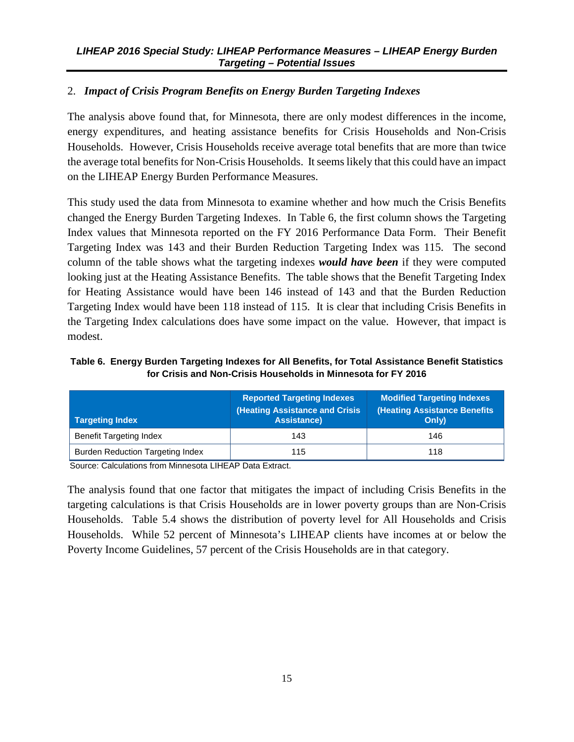#### <span id="page-23-1"></span>2. *Impact of Crisis Program Benefits on Energy Burden Targeting Indexes*

The analysis above found that, for Minnesota, there are only modest differences in the income, energy expenditures, and heating assistance benefits for Crisis Households and Non-Crisis Households. However, Crisis Households receive average total benefits that are more than twice the average total benefits for Non-Crisis Households. It seems likely that this could have an impact on the LIHEAP Energy Burden Performance Measures.

This study used the data from Minnesota to examine whether and how much the Crisis Benefits changed the Energy Burden Targeting Indexes. In Table 6, the first column shows the Targeting Index values that Minnesota reported on the FY 2016 Performance Data Form. Their Benefit Targeting Index was 143 and their Burden Reduction Targeting Index was 115. The second column of the table shows what the targeting indexes *would have been* if they were computed looking just at the Heating Assistance Benefits. The table shows that the Benefit Targeting Index for Heating Assistance would have been 146 instead of 143 and that the Burden Reduction Targeting Index would have been 118 instead of 115. It is clear that including Crisis Benefits in the Targeting Index calculations does have some impact on the value. However, that impact is modest.

<span id="page-23-0"></span>**Table 6. Energy Burden Targeting Indexes for All Benefits, for Total Assistance Benefit Statistics for Crisis and Non-Crisis Households in Minnesota for FY 2016**

| <b>Targeting Index</b>                  | <b>Reported Targeting Indexes</b><br><b>(Heating Assistance and Crisis</b><br><b>Assistance)</b> | <b>Modified Targeting Indexes</b><br><b>(Heating Assistance Benefits</b><br>Only) |  |
|-----------------------------------------|--------------------------------------------------------------------------------------------------|-----------------------------------------------------------------------------------|--|
| <b>Benefit Targeting Index</b>          | 143                                                                                              | 146                                                                               |  |
| <b>Burden Reduction Targeting Index</b> | 115                                                                                              | 118                                                                               |  |

Source: Calculations from Minnesota LIHEAP Data Extract.

The analysis found that one factor that mitigates the impact of including Crisis Benefits in the targeting calculations is that Crisis Households are in lower poverty groups than are Non-Crisis Households. Table 5.4 shows the distribution of poverty level for All Households and Crisis Households. While 52 percent of Minnesota's LIHEAP clients have incomes at or below the Poverty Income Guidelines, 57 percent of the Crisis Households are in that category.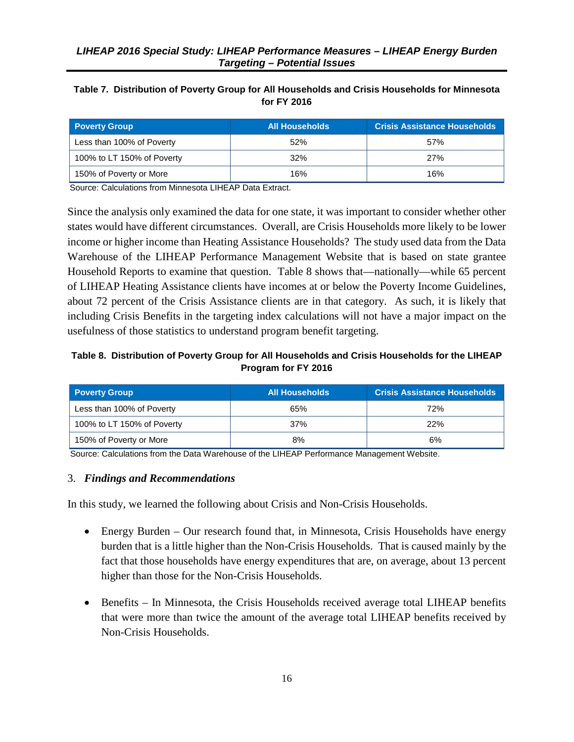#### <span id="page-24-2"></span><span id="page-24-0"></span>**Table 7. Distribution of Poverty Group for All Households and Crisis Households for Minnesota for FY 2016**

| <b>Poverty Group</b>       | <b>All Households</b> | <b>Crisis Assistance Households</b> |
|----------------------------|-----------------------|-------------------------------------|
| Less than 100% of Poverty  | 52%                   | 57%                                 |
| 100% to LT 150% of Poverty | 32%                   | 27%                                 |
| 150% of Poverty or More    | 16%                   | 16%                                 |

Source: Calculations from Minnesota LIHEAP Data Extract.

Since the analysis only examined the data for one state, it was important to consider whether other states would have different circumstances. Overall, are Crisis Households more likely to be lower income or higher income than Heating Assistance Households? The study used data from the Data Warehouse of the LIHEAP Performance Management Website that is based on state grantee Household Reports to examine that question. Table 8 shows that—nationally—while 65 percent of LIHEAP Heating Assistance clients have incomes at or below the Poverty Income Guidelines, about 72 percent of the Crisis Assistance clients are in that category. As such, it is likely that including Crisis Benefits in the targeting index calculations will not have a major impact on the usefulness of those statistics to understand program benefit targeting.

#### <span id="page-24-1"></span>**Table 8. Distribution of Poverty Group for All Households and Crisis Households for the LIHEAP Program for FY 2016**

| <b>Poverty Group</b>       | <b>All Households</b> | <b>Crisis Assistance Households</b> |
|----------------------------|-----------------------|-------------------------------------|
| Less than 100% of Poverty  | 65%                   | 72%                                 |
| 100% to LT 150% of Poverty | 37%                   | 22%                                 |
| 150% of Poverty or More    | 8%                    | 6%                                  |

Source: Calculations from the Data Warehouse of the LIHEAP Performance Management Website.

#### 3. *Findings and Recommendations*

In this study, we learned the following about Crisis and Non-Crisis Households.

- Energy Burden Our research found that, in Minnesota, Crisis Households have energy burden that is a little higher than the Non-Crisis Households. That is caused mainly by the fact that those households have energy expenditures that are, on average, about 13 percent higher than those for the Non-Crisis Households.
- Benefits In Minnesota, the Crisis Households received average total LIHEAP benefits that were more than twice the amount of the average total LIHEAP benefits received by Non-Crisis Households.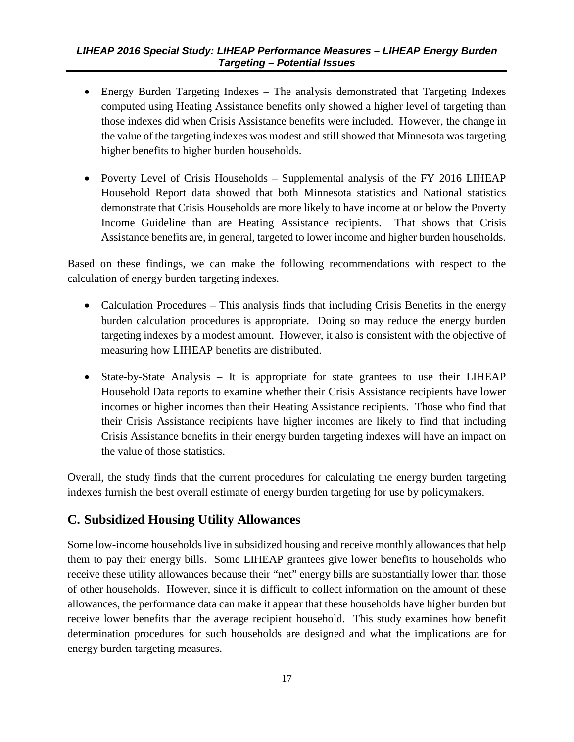- <span id="page-25-1"></span>• Energy Burden Targeting Indexes – The analysis demonstrated that Targeting Indexes computed using Heating Assistance benefits only showed a higher level of targeting than those indexes did when Crisis Assistance benefits were included. However, the change in the value of the targeting indexes was modest and still showed that Minnesota was targeting higher benefits to higher burden households.
- Poverty Level of Crisis Households Supplemental analysis of the FY 2016 LIHEAP Household Report data showed that both Minnesota statistics and National statistics demonstrate that Crisis Households are more likely to have income at or below the Poverty Income Guideline than are Heating Assistance recipients. That shows that Crisis Assistance benefits are, in general, targeted to lower income and higher burden households.

Based on these findings, we can make the following recommendations with respect to the calculation of energy burden targeting indexes.

- Calculation Procedures This analysis finds that including Crisis Benefits in the energy burden calculation procedures is appropriate. Doing so may reduce the energy burden targeting indexes by a modest amount. However, it also is consistent with the objective of measuring how LIHEAP benefits are distributed.
- State-by-State Analysis It is appropriate for state grantees to use their LIHEAP Household Data reports to examine whether their Crisis Assistance recipients have lower incomes or higher incomes than their Heating Assistance recipients. Those who find that their Crisis Assistance recipients have higher incomes are likely to find that including Crisis Assistance benefits in their energy burden targeting indexes will have an impact on the value of those statistics.

Overall, the study finds that the current procedures for calculating the energy burden targeting indexes furnish the best overall estimate of energy burden targeting for use by policymakers.

# <span id="page-25-0"></span>**C. Subsidized Housing Utility Allowances**

Some low-income households live in subsidized housing and receive monthly allowances that help them to pay their energy bills. Some LIHEAP grantees give lower benefits to households who receive these utility allowances because their "net" energy bills are substantially lower than those of other households. However, since it is difficult to collect information on the amount of these allowances, the performance data can make it appear that these households have higher burden but receive lower benefits than the average recipient household. This study examines how benefit determination procedures for such households are designed and what the implications are for energy burden targeting measures.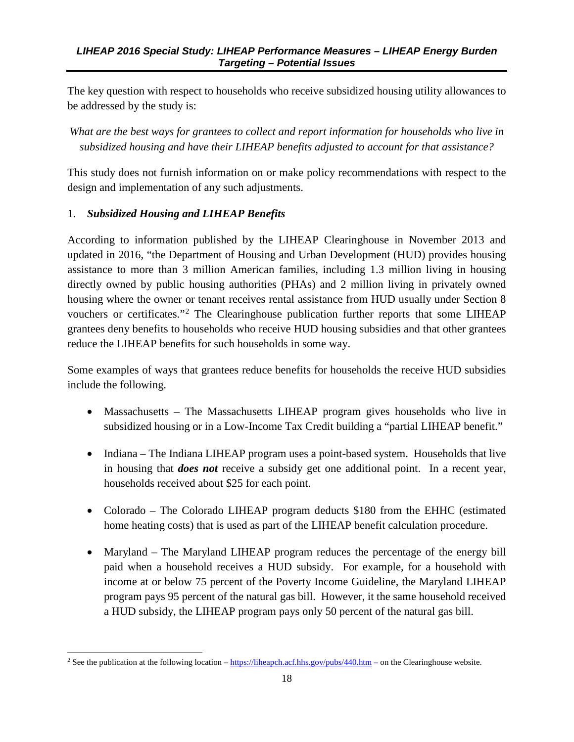The key question with respect to households who receive subsidized housing utility allowances to be addressed by the study is:

*What are the best ways for grantees to collect and report information for households who live in subsidized housing and have their LIHEAP benefits adjusted to account for that assistance?* 

This study does not furnish information on or make policy recommendations with respect to the design and implementation of any such adjustments.

#### 1. *Subsidized Housing and LIHEAP Benefits*

According to information published by the LIHEAP Clearinghouse in November 2013 and updated in 2016, "the Department of Housing and Urban Development (HUD) provides housing assistance to more than 3 million American families, including 1.3 million living in housing directly owned by public housing authorities (PHAs) and 2 million living in privately owned housing where the owner or tenant receives rental assistance from HUD usually under Section 8 vouchers or certificates."<sup>[2](#page-26-0)</sup> The Clearinghouse publication further reports that some LIHEAP grantees deny benefits to households who receive HUD housing subsidies and that other grantees reduce the LIHEAP benefits for such households in some way.

Some examples of ways that grantees reduce benefits for households the receive HUD subsidies include the following.

- Massachusetts The Massachusetts LIHEAP program gives households who live in subsidized housing or in a Low-Income Tax Credit building a "partial LIHEAP benefit."
- Indiana The Indiana LIHEAP program uses a point-based system. Households that live in housing that *does not* receive a subsidy get one additional point. In a recent year, households received about \$25 for each point.
- Colorado The Colorado LIHEAP program deducts \$180 from the EHHC (estimated home heating costs) that is used as part of the LIHEAP benefit calculation procedure.
- Maryland The Maryland LIHEAP program reduces the percentage of the energy bill paid when a household receives a HUD subsidy. For example, for a household with income at or below 75 percent of the Poverty Income Guideline, the Maryland LIHEAP program pays 95 percent of the natural gas bill. However, it the same household received a HUD subsidy, the LIHEAP program pays only 50 percent of the natural gas bill.

<span id="page-26-0"></span><sup>&</sup>lt;sup>2</sup> See the publication at the following location [– https://liheapch.acf.hhs.gov/pubs/440.htm –](https://liheapch.acf.hhs.gov/pubs/440.htm) on the Clearinghouse website.  $\overline{\phantom{a}}$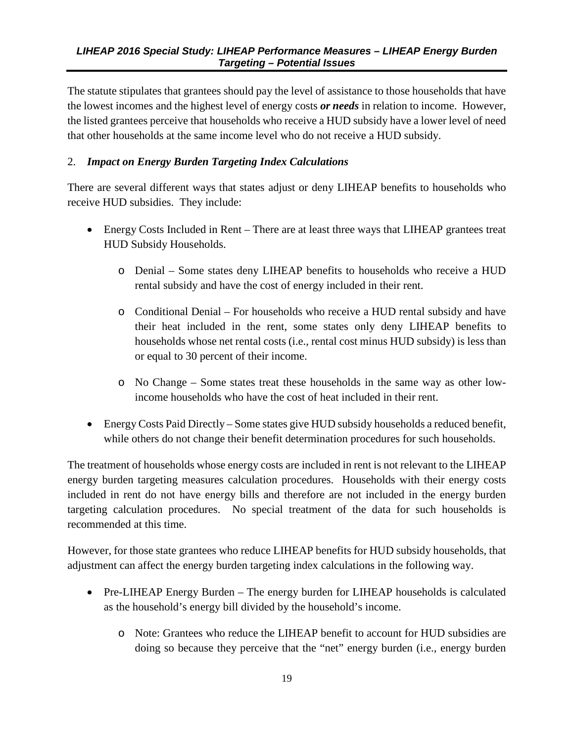The statute stipulates that grantees should pay the level of assistance to those households that have the lowest incomes and the highest level of energy costs *or needs* in relation to income. However, the listed grantees perceive that households who receive a HUD subsidy have a lower level of need that other households at the same income level who do not receive a HUD subsidy.

#### 2. *Impact on Energy Burden Targeting Index Calculations*

There are several different ways that states adjust or deny LIHEAP benefits to households who receive HUD subsidies. They include:

- Energy Costs Included in Rent There are at least three ways that LIHEAP grantees treat HUD Subsidy Households.
	- o Denial Some states deny LIHEAP benefits to households who receive a HUD rental subsidy and have the cost of energy included in their rent.
	- o Conditional Denial For households who receive a HUD rental subsidy and have their heat included in the rent, some states only deny LIHEAP benefits to households whose net rental costs (i.e., rental cost minus HUD subsidy) is less than or equal to 30 percent of their income.
	- o No Change Some states treat these households in the same way as other lowincome households who have the cost of heat included in their rent.
- Energy Costs Paid Directly Some states give HUD subsidy households a reduced benefit, while others do not change their benefit determination procedures for such households.

The treatment of households whose energy costs are included in rent is not relevant to the LIHEAP energy burden targeting measures calculation procedures. Households with their energy costs included in rent do not have energy bills and therefore are not included in the energy burden targeting calculation procedures. No special treatment of the data for such households is recommended at this time.

However, for those state grantees who reduce LIHEAP benefits for HUD subsidy households, that adjustment can affect the energy burden targeting index calculations in the following way.

- Pre-LIHEAP Energy Burden The energy burden for LIHEAP households is calculated as the household's energy bill divided by the household's income.
	- o Note: Grantees who reduce the LIHEAP benefit to account for HUD subsidies are doing so because they perceive that the "net" energy burden (i.e., energy burden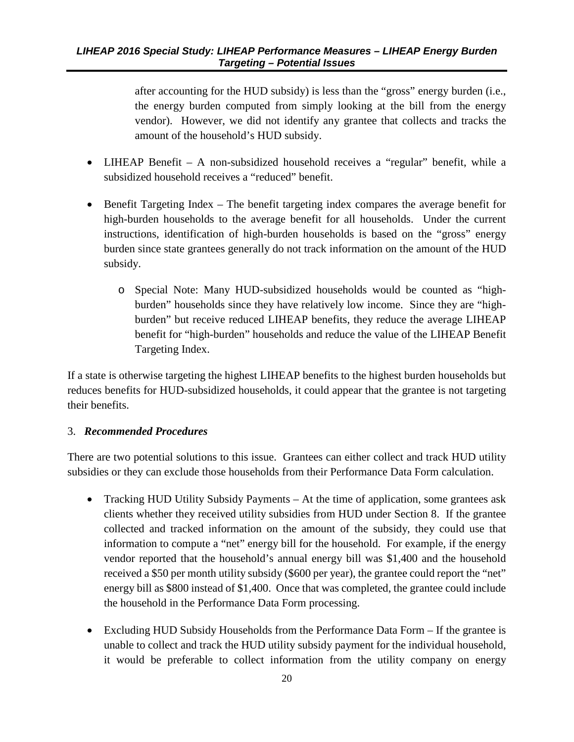after accounting for the HUD subsidy) is less than the "gross" energy burden (i.e., the energy burden computed from simply looking at the bill from the energy vendor). However, we did not identify any grantee that collects and tracks the amount of the household's HUD subsidy.

- LIHEAP Benefit A non-subsidized household receives a "regular" benefit, while a subsidized household receives a "reduced" benefit.
- Benefit Targeting Index The benefit targeting index compares the average benefit for high-burden households to the average benefit for all households. Under the current instructions, identification of high-burden households is based on the "gross" energy burden since state grantees generally do not track information on the amount of the HUD subsidy.
	- o Special Note: Many HUD-subsidized households would be counted as "highburden" households since they have relatively low income. Since they are "highburden" but receive reduced LIHEAP benefits, they reduce the average LIHEAP benefit for "high-burden" households and reduce the value of the LIHEAP Benefit Targeting Index.

If a state is otherwise targeting the highest LIHEAP benefits to the highest burden households but reduces benefits for HUD-subsidized households, it could appear that the grantee is not targeting their benefits.

#### 3. *Recommended Procedures*

There are two potential solutions to this issue. Grantees can either collect and track HUD utility subsidies or they can exclude those households from their Performance Data Form calculation.

- Tracking HUD Utility Subsidy Payments At the time of application, some grantees ask clients whether they received utility subsidies from HUD under Section 8. If the grantee collected and tracked information on the amount of the subsidy, they could use that information to compute a "net" energy bill for the household. For example, if the energy vendor reported that the household's annual energy bill was \$1,400 and the household received a \$50 per month utility subsidy (\$600 per year), the grantee could report the "net" energy bill as \$800 instead of \$1,400. Once that was completed, the grantee could include the household in the Performance Data Form processing.
- Excluding HUD Subsidy Households from the Performance Data Form If the grantee is unable to collect and track the HUD utility subsidy payment for the individual household, it would be preferable to collect information from the utility company on energy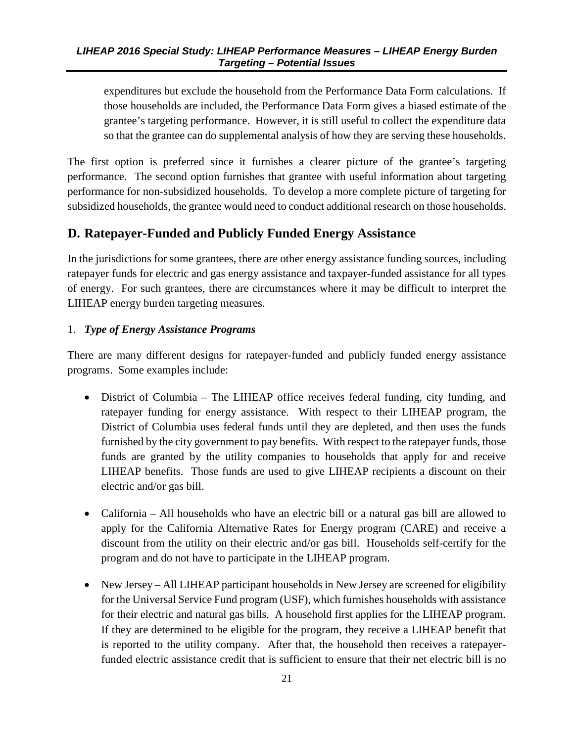<span id="page-29-1"></span>expenditures but exclude the household from the Performance Data Form calculations. If those households are included, the Performance Data Form gives a biased estimate of the grantee's targeting performance. However, it is still useful to collect the expenditure data so that the grantee can do supplemental analysis of how they are serving these households.

The first option is preferred since it furnishes a clearer picture of the grantee's targeting performance. The second option furnishes that grantee with useful information about targeting performance for non-subsidized households. To develop a more complete picture of targeting for subsidized households, the grantee would need to conduct additional research on those households.

# <span id="page-29-0"></span>**D. Ratepayer-Funded and Publicly Funded Energy Assistance**

In the jurisdictions for some grantees, there are other energy assistance funding sources, including ratepayer funds for electric and gas energy assistance and taxpayer-funded assistance for all types of energy. For such grantees, there are circumstances where it may be difficult to interpret the LIHEAP energy burden targeting measures.

#### 1. *Type of Energy Assistance Programs*

There are many different designs for ratepayer-funded and publicly funded energy assistance programs. Some examples include:

- District of Columbia The LIHEAP office receives federal funding, city funding, and ratepayer funding for energy assistance. With respect to their LIHEAP program, the District of Columbia uses federal funds until they are depleted, and then uses the funds furnished by the city government to pay benefits. With respect to the ratepayer funds, those funds are granted by the utility companies to households that apply for and receive LIHEAP benefits. Those funds are used to give LIHEAP recipients a discount on their electric and/or gas bill.
- California All households who have an electric bill or a natural gas bill are allowed to apply for the California Alternative Rates for Energy program (CARE) and receive a discount from the utility on their electric and/or gas bill. Households self-certify for the program and do not have to participate in the LIHEAP program.
- New Jersey All LIHEAP participant households in New Jersey are screened for eligibility for the Universal Service Fund program (USF), which furnishes households with assistance for their electric and natural gas bills. A household first applies for the LIHEAP program. If they are determined to be eligible for the program, they receive a LIHEAP benefit that is reported to the utility company. After that, the household then receives a ratepayerfunded electric assistance credit that is sufficient to ensure that their net electric bill is no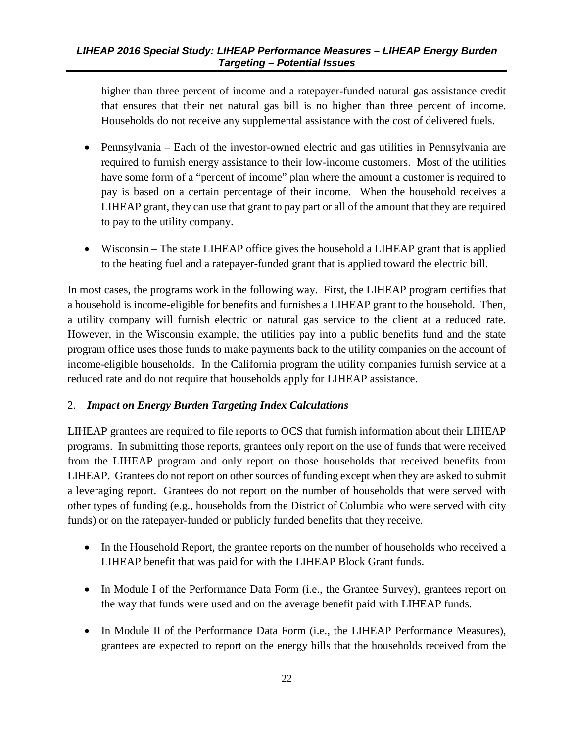higher than three percent of income and a ratepayer-funded natural gas assistance credit that ensures that their net natural gas bill is no higher than three percent of income. Households do not receive any supplemental assistance with the cost of delivered fuels.

- Pennsylvania Each of the investor-owned electric and gas utilities in Pennsylvania are required to furnish energy assistance to their low-income customers. Most of the utilities have some form of a "percent of income" plan where the amount a customer is required to pay is based on a certain percentage of their income. When the household receives a LIHEAP grant, they can use that grant to pay part or all of the amount that they are required to pay to the utility company.
- Wisconsin The state LIHEAP office gives the household a LIHEAP grant that is applied to the heating fuel and a ratepayer-funded grant that is applied toward the electric bill.

In most cases, the programs work in the following way. First, the LIHEAP program certifies that a household is income-eligible for benefits and furnishes a LIHEAP grant to the household. Then, a utility company will furnish electric or natural gas service to the client at a reduced rate. However, in the Wisconsin example, the utilities pay into a public benefits fund and the state program office uses those funds to make payments back to the utility companies on the account of income-eligible households. In the California program the utility companies furnish service at a reduced rate and do not require that households apply for LIHEAP assistance.

#### 2. *Impact on Energy Burden Targeting Index Calculations*

LIHEAP grantees are required to file reports to OCS that furnish information about their LIHEAP programs. In submitting those reports, grantees only report on the use of funds that were received from the LIHEAP program and only report on those households that received benefits from LIHEAP. Grantees do not report on other sources of funding except when they are asked to submit a leveraging report. Grantees do not report on the number of households that were served with other types of funding (e.g., households from the District of Columbia who were served with city funds) or on the ratepayer-funded or publicly funded benefits that they receive.

- In the Household Report, the grantee reports on the number of households who received a LIHEAP benefit that was paid for with the LIHEAP Block Grant funds.
- In Module I of the Performance Data Form (i.e., the Grantee Survey), grantees report on the way that funds were used and on the average benefit paid with LIHEAP funds.
- In Module II of the Performance Data Form (i.e., the LIHEAP Performance Measures), grantees are expected to report on the energy bills that the households received from the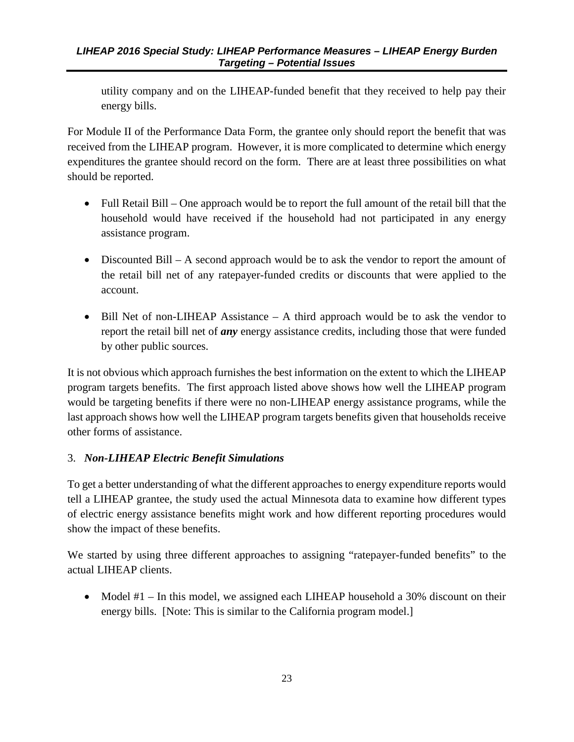utility company and on the LIHEAP-funded benefit that they received to help pay their energy bills.

For Module II of the Performance Data Form, the grantee only should report the benefit that was received from the LIHEAP program. However, it is more complicated to determine which energy expenditures the grantee should record on the form. There are at least three possibilities on what should be reported.

- Full Retail Bill One approach would be to report the full amount of the retail bill that the household would have received if the household had not participated in any energy assistance program.
- Discounted Bill A second approach would be to ask the vendor to report the amount of the retail bill net of any ratepayer-funded credits or discounts that were applied to the account.
- Bill Net of non-LIHEAP Assistance A third approach would be to ask the vendor to report the retail bill net of *any* energy assistance credits, including those that were funded by other public sources.

It is not obvious which approach furnishes the best information on the extent to which the LIHEAP program targets benefits. The first approach listed above shows how well the LIHEAP program would be targeting benefits if there were no non-LIHEAP energy assistance programs, while the last approach shows how well the LIHEAP program targets benefits given that households receive other forms of assistance.

#### 3. *Non-LIHEAP Electric Benefit Simulations*

To get a better understanding of what the different approaches to energy expenditure reports would tell a LIHEAP grantee, the study used the actual Minnesota data to examine how different types of electric energy assistance benefits might work and how different reporting procedures would show the impact of these benefits.

We started by using three different approaches to assigning "ratepayer-funded benefits" to the actual LIHEAP clients.

• Model #1 – In this model, we assigned each LIHEAP household a 30% discount on their energy bills. [Note: This is similar to the California program model.]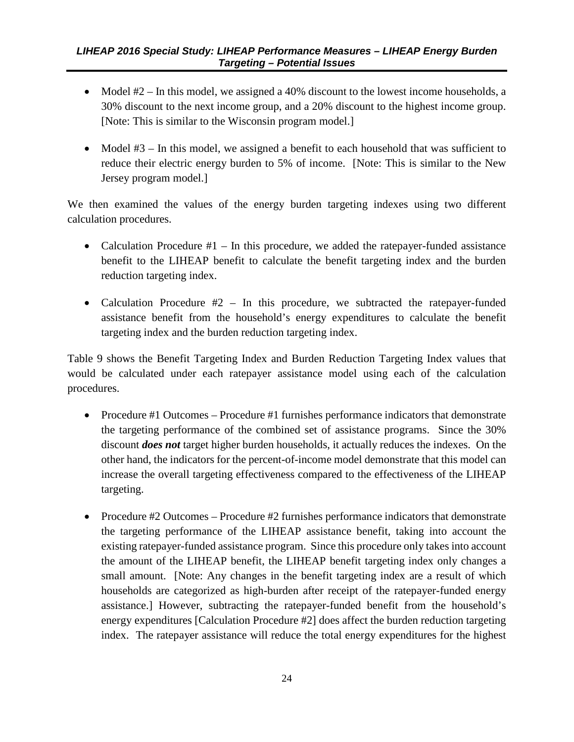- Model #2 In this model, we assigned a 40% discount to the lowest income households, a 30% discount to the next income group, and a 20% discount to the highest income group. [Note: This is similar to the Wisconsin program model.]
- Model #3 In this model, we assigned a benefit to each household that was sufficient to reduce their electric energy burden to 5% of income. [Note: This is similar to the New Jersey program model.]

We then examined the values of the energy burden targeting indexes using two different calculation procedures.

- Calculation Procedure  $#1 In$  this procedure, we added the ratepayer-funded assistance benefit to the LIHEAP benefit to calculate the benefit targeting index and the burden reduction targeting index.
- Calculation Procedure #2 In this procedure, we subtracted the ratepayer-funded assistance benefit from the household's energy expenditures to calculate the benefit targeting index and the burden reduction targeting index.

Table 9 shows the Benefit Targeting Index and Burden Reduction Targeting Index values that would be calculated under each ratepayer assistance model using each of the calculation procedures.

- Procedure #1 Outcomes Procedure #1 furnishes performance indicators that demonstrate the targeting performance of the combined set of assistance programs. Since the 30% discount *does not* target higher burden households, it actually reduces the indexes. On the other hand, the indicators for the percent-of-income model demonstrate that this model can increase the overall targeting effectiveness compared to the effectiveness of the LIHEAP targeting.
- Procedure #2 Outcomes Procedure #2 furnishes performance indicators that demonstrate the targeting performance of the LIHEAP assistance benefit, taking into account the existing ratepayer-funded assistance program. Since this procedure only takes into account the amount of the LIHEAP benefit, the LIHEAP benefit targeting index only changes a small amount. [Note: Any changes in the benefit targeting index are a result of which households are categorized as high-burden after receipt of the ratepayer-funded energy assistance.] However, subtracting the ratepayer-funded benefit from the household's energy expenditures [Calculation Procedure #2] does affect the burden reduction targeting index. The ratepayer assistance will reduce the total energy expenditures for the highest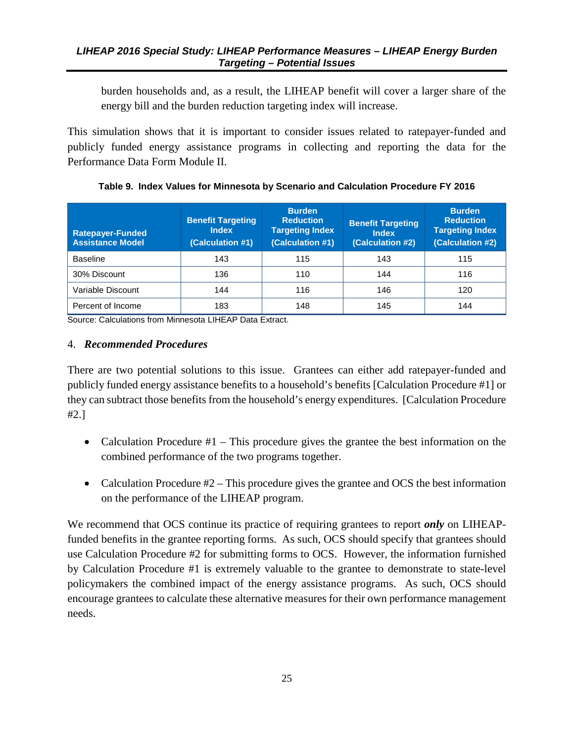<span id="page-33-1"></span>burden households and, as a result, the LIHEAP benefit will cover a larger share of the energy bill and the burden reduction targeting index will increase.

This simulation shows that it is important to consider issues related to ratepayer-funded and publicly funded energy assistance programs in collecting and reporting the data for the Performance Data Form Module II.

<span id="page-33-0"></span>

| <b>Ratepayer-Funded</b><br><b>Assistance Model</b> | <b>Benefit Targeting</b><br><b>Index</b><br>(Calculation #1) | <b>Burden</b><br><b>Reduction</b><br><b>Targeting Index</b><br>(Calculation #1) | <b>Benefit Targeting</b><br><b>Index</b><br>(Calculation #2) | <b>Burden</b><br><b>Reduction</b><br><b>Targeting Index</b><br>(Calculation #2) |
|----------------------------------------------------|--------------------------------------------------------------|---------------------------------------------------------------------------------|--------------------------------------------------------------|---------------------------------------------------------------------------------|
| <b>Baseline</b>                                    | 143                                                          | 115                                                                             | 143                                                          | 115                                                                             |
| 30% Discount                                       | 136                                                          | 110                                                                             | 144                                                          | 116                                                                             |
| Variable Discount                                  | 144                                                          | 116                                                                             | 146                                                          | 120                                                                             |
| Percent of Income                                  | 183                                                          | 148                                                                             | 145                                                          | 144                                                                             |

**Table 9. Index Values for Minnesota by Scenario and Calculation Procedure FY 2016**

Source: Calculations from Minnesota LIHEAP Data Extract.

#### 4. *Recommended Procedures*

There are two potential solutions to this issue. Grantees can either add ratepayer-funded and publicly funded energy assistance benefits to a household's benefits [Calculation Procedure #1] or they can subtract those benefits from the household's energy expenditures. [Calculation Procedure #2.]

- Calculation Procedure #1 This procedure gives the grantee the best information on the combined performance of the two programs together.
- Calculation Procedure #2 This procedure gives the grantee and OCS the best information on the performance of the LIHEAP program.

We recommend that OCS continue its practice of requiring grantees to report *only* on LIHEAPfunded benefits in the grantee reporting forms. As such, OCS should specify that grantees should use Calculation Procedure #2 for submitting forms to OCS. However, the information furnished by Calculation Procedure #1 is extremely valuable to the grantee to demonstrate to state-level policymakers the combined impact of the energy assistance programs. As such, OCS should encourage grantees to calculate these alternative measures for their own performance management needs.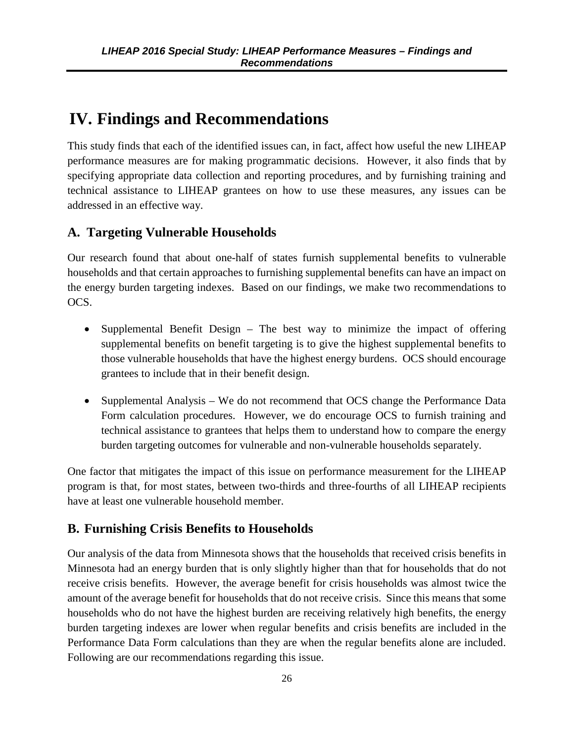# <span id="page-34-3"></span><span id="page-34-0"></span>**IV. Findings and Recommendations**

This study finds that each of the identified issues can, in fact, affect how useful the new LIHEAP performance measures are for making programmatic decisions. However, it also finds that by specifying appropriate data collection and reporting procedures, and by furnishing training and technical assistance to LIHEAP grantees on how to use these measures, any issues can be addressed in an effective way.

### <span id="page-34-1"></span>**A. Targeting Vulnerable Households**

Our research found that about one-half of states furnish supplemental benefits to vulnerable households and that certain approaches to furnishing supplemental benefits can have an impact on the energy burden targeting indexes. Based on our findings, we make two recommendations to OCS.

- Supplemental Benefit Design The best way to minimize the impact of offering supplemental benefits on benefit targeting is to give the highest supplemental benefits to those vulnerable households that have the highest energy burdens. OCS should encourage grantees to include that in their benefit design.
- Supplemental Analysis We do not recommend that OCS change the Performance Data Form calculation procedures. However, we do encourage OCS to furnish training and technical assistance to grantees that helps them to understand how to compare the energy burden targeting outcomes for vulnerable and non-vulnerable households separately.

One factor that mitigates the impact of this issue on performance measurement for the LIHEAP program is that, for most states, between two-thirds and three-fourths of all LIHEAP recipients have at least one vulnerable household member.

### <span id="page-34-2"></span>**B. Furnishing Crisis Benefits to Households**

Our analysis of the data from Minnesota shows that the households that received crisis benefits in Minnesota had an energy burden that is only slightly higher than that for households that do not receive crisis benefits. However, the average benefit for crisis households was almost twice the amount of the average benefit for households that do not receive crisis. Since this means that some households who do not have the highest burden are receiving relatively high benefits, the energy burden targeting indexes are lower when regular benefits and crisis benefits are included in the Performance Data Form calculations than they are when the regular benefits alone are included. Following are our recommendations regarding this issue.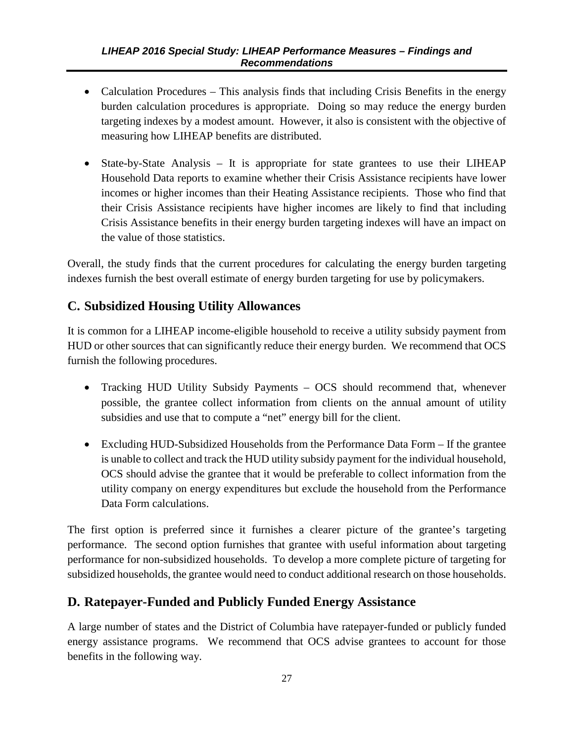- <span id="page-35-2"></span>• Calculation Procedures – This analysis finds that including Crisis Benefits in the energy burden calculation procedures is appropriate. Doing so may reduce the energy burden targeting indexes by a modest amount. However, it also is consistent with the objective of measuring how LIHEAP benefits are distributed.
- State-by-State Analysis It is appropriate for state grantees to use their LIHEAP Household Data reports to examine whether their Crisis Assistance recipients have lower incomes or higher incomes than their Heating Assistance recipients. Those who find that their Crisis Assistance recipients have higher incomes are likely to find that including Crisis Assistance benefits in their energy burden targeting indexes will have an impact on the value of those statistics.

Overall, the study finds that the current procedures for calculating the energy burden targeting indexes furnish the best overall estimate of energy burden targeting for use by policymakers.

# <span id="page-35-0"></span>**C. Subsidized Housing Utility Allowances**

It is common for a LIHEAP income-eligible household to receive a utility subsidy payment from HUD or other sources that can significantly reduce their energy burden. We recommend that OCS furnish the following procedures.

- Tracking HUD Utility Subsidy Payments OCS should recommend that, whenever possible, the grantee collect information from clients on the annual amount of utility subsidies and use that to compute a "net" energy bill for the client.
- Excluding HUD-Subsidized Households from the Performance Data Form If the grantee is unable to collect and track the HUD utility subsidy payment for the individual household, OCS should advise the grantee that it would be preferable to collect information from the utility company on energy expenditures but exclude the household from the Performance Data Form calculations.

The first option is preferred since it furnishes a clearer picture of the grantee's targeting performance. The second option furnishes that grantee with useful information about targeting performance for non-subsidized households. To develop a more complete picture of targeting for subsidized households, the grantee would need to conduct additional research on those households.

### <span id="page-35-1"></span>**D. Ratepayer-Funded and Publicly Funded Energy Assistance**

A large number of states and the District of Columbia have ratepayer-funded or publicly funded energy assistance programs. We recommend that OCS advise grantees to account for those benefits in the following way.